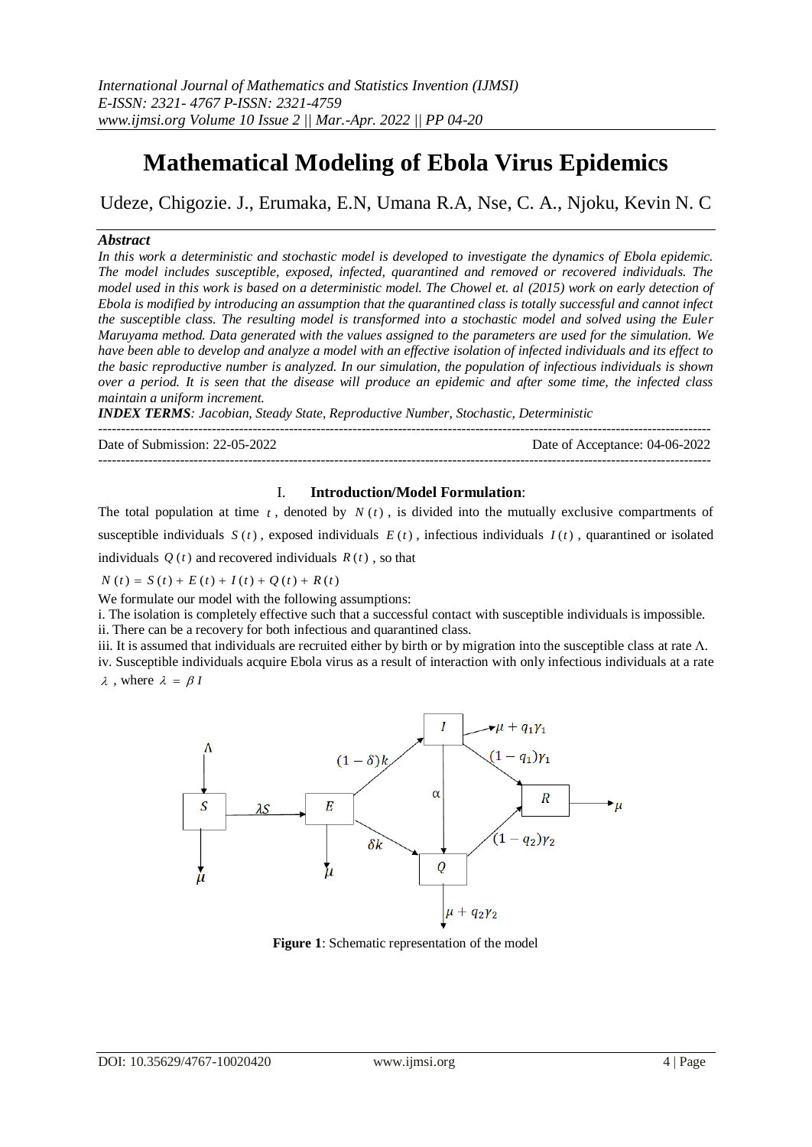# **Mathematical Modeling of Ebola Virus Epidemics**

Udeze, Chigozie. J., Erumaka, E.N, Umana R.A, Nse, C. A., Njoku, Kevin N. C

### *Abstract*

*In this work a deterministic and stochastic model is developed to investigate the dynamics of Ebola epidemic. The model includes susceptible, exposed, infected, quarantined and removed or recovered individuals. The model used in this work is based on a deterministic model. The Chowel et. al (2015) work on early detection of Ebola is modified by introducing an assumption that the quarantined class is totally successful and cannot infect the susceptible class. The resulting model is transformed into a stochastic model and solved using the Euler Maruyama method. Data generated with the values assigned to the parameters are used for the simulation. We have been able to develop and analyze a model with an effective isolation of infected individuals and its effect to the basic reproductive number is analyzed. In our simulation, the population of infectious individuals is shown over a period. It is seen that the disease will produce an epidemic and after some time, the infected class maintain a uniform increment.*

*INDEX TERMS: Jacobian, Steady State, Reproductive Number, Stochastic, Deterministic*

---------------------------------------------------------------------------------------------------------------------------------------

Date of Submission: 22-05-2022 Date of Acceptance: 04-06-2022 ---------------------------------------------------------------------------------------------------------------------------------------

#### I. **Introduction/Model Formulation**:

The total population at time  $t$ , denoted by  $N(t)$ , is divided into the mutually exclusive compartments of susceptible individuals  $S(t)$ , exposed individuals  $E(t)$ , infectious individuals  $I(t)$ , quarantined or isolated individuals  $Q(t)$  and recovered individuals  $R(t)$ , so that

 $N(t) = S(t) + E(t) + I(t) + Q(t) + R(t)$ 

We formulate our model with the following assumptions:

i. The isolation is completely effective such that a successful contact with susceptible individuals is impossible.

ii. There can be a recovery for both infectious and quarantined class.

iii. It is assumed that individuals are recruited either by birth or by migration into the susceptible class at rate  $\Lambda$ .

iv. Susceptible individuals acquire Ebola virus as a result of interaction with only infectious individuals at a rate  $\lambda$ , where  $\lambda = \beta l$ 



**Figure 1**: Schematic representation of the model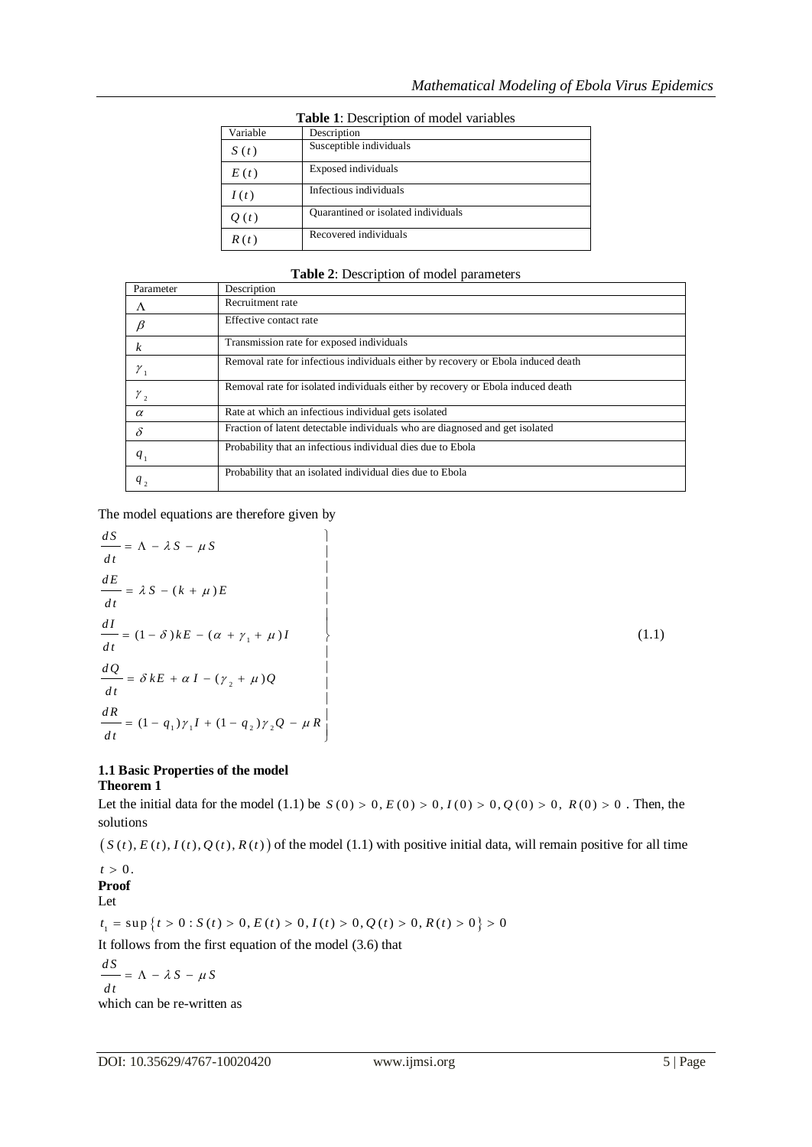|          | <b>Table 1.</b> Description of moder variables |  |  |  |  |  |  |  |
|----------|------------------------------------------------|--|--|--|--|--|--|--|
| Variable | Description                                    |  |  |  |  |  |  |  |
| S(t)     | Susceptible individuals                        |  |  |  |  |  |  |  |
| E(t)     | Exposed individuals                            |  |  |  |  |  |  |  |
| I(t)     | Infectious individuals                         |  |  |  |  |  |  |  |
| Q(t)     | Quarantined or isolated individuals            |  |  |  |  |  |  |  |
| R(t)     | Recovered individuals                          |  |  |  |  |  |  |  |

**Table 1**: Description of model variables

**Table 2**: Description of model parameters

| Parameter             | Description                                                                       |
|-----------------------|-----------------------------------------------------------------------------------|
| Λ                     | Recruitment rate                                                                  |
|                       | Effective contact rate                                                            |
|                       | Transmission rate for exposed individuals                                         |
| $\mathcal{Y}_1$       | Removal rate for infectious individuals either by recovery or Ebola induced death |
| $\gamma$ <sub>2</sub> | Removal rate for isolated individuals either by recovery or Ebola induced death   |
| $\alpha$              | Rate at which an infectious individual gets isolated                              |
| δ                     | Fraction of latent detectable individuals who are diagnosed and get isolated      |
| $q_{1}$               | Probability that an infectious individual dies due to Ebola                       |
| $q_{2}$               | Probability that an isolated individual dies due to Ebola                         |

The model equations are therefore given by  
\n
$$
\frac{dS}{dt} = \Lambda - \lambda S - \mu S
$$
\n
$$
\frac{dE}{dt} = \lambda S - (k + \mu)E
$$
\n
$$
\frac{dI}{dt} = (1 - \delta)kE - (\alpha + \gamma_1 + \mu)I
$$
\n
$$
\frac{dQ}{dt} = \delta kE + \alpha I - (\gamma_2 + \mu)Q
$$
\n
$$
\frac{dR}{dt} = (1 - q_1)\gamma_1 I + (1 - q_2)\gamma_2 Q - \mu R
$$
\n(1.1)

## **1.1 Basic Properties of the model Theorem 1**

**Theorem 1**<br>Let the initial data for the model (1.1) be  $S(0) > 0$ ,  $E(0) > 0$ ,  $I(0) > 0$ ,  $Q(0) > 0$ ,  $R(0) > 0$ . Then, the solutions

 $(S(t), E(t), I(t), Q(t), R(t))$  of the model (1.1) with positive initial data, will remain positive for all time

# $t > 0$ . **Proof**

Let

**Proof**<br>
Let<br>  $t_1 = \sup \{ t > 0 : S(t) > 0, E(t) > 0, I(t) > 0, Q(t) > 0, R(t) > 0 \} > 0$ 

It follows from the first equation of the model (3.6) that

$$
\frac{dS}{dt} = \Lambda - \lambda S - \mu S
$$
  
which can be re-written

ich can be re-written as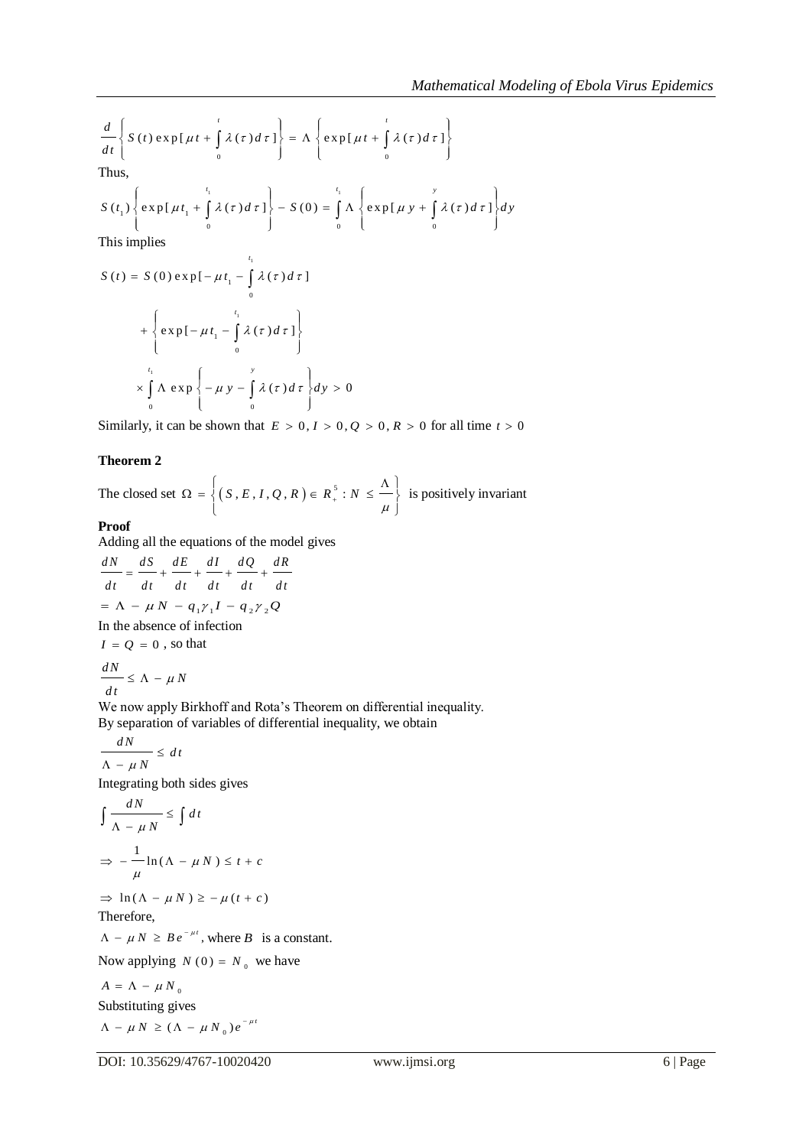$$
\frac{d}{dt} \left\{ S(t) \exp[\mu t + \int_{0}^{t} \lambda(\tau) d\tau] \right\} = \Lambda \left\{ \exp[\mu t + \int_{0}^{t} \lambda(\tau) d\tau] \right\}
$$
  
Thus,  

$$
S(t_1) \left\{ \exp[\mu t_1 + \int_{0}^{t_1} \lambda(\tau) d\tau] \right\} - S(0) = \int_{0}^{t_1} \Lambda \left\{ \exp[\mu y + \int_{0}^{y} \lambda(\tau) d\tau] \right\} dy
$$

This implies

$$
S(t) = S(0) \exp[-\mu t_1 - \int_0^{t_1} \lambda(\tau) d\tau]
$$
  
+ 
$$
\left\{ \exp[-\mu t_1 - \int_0^{t_1} \lambda(\tau) d\tau] \right\}
$$
  

$$
\times \int_0^{t_1} \Lambda \exp\left\{-\mu y - \int_0^y \lambda(\tau) d\tau \right\} dy > 0
$$

Similarly, it can be shown that  $E > 0, I > 0, Q > 0, R > 0$  for all time  $t > 0$ 

## **Theorem 2**

The closed set  $\Omega = \left\{ (S, E, I, Q, R) \in R_+^5 : N \leq \frac{\Lambda}{\mu} \right\}$  $\Omega$  =  $\left\{ (S, E, I, Q, R) \in R_+^5 : N \leq \frac{\Lambda}{\Lambda} \right\}$  is  $\{(S, E, I, Q, R) \in R^3 : N \leq \frac{1}{\mu}\}$  is positively invariant

# **Proof**

Adding all the equations of the model gives  
\n
$$
\frac{dN}{dt} = \frac{dS}{dt} + \frac{dE}{dt} + \frac{dI}{dt} + \frac{dQ}{dt} + \frac{dR}{dt}
$$
\n
$$
= \Lambda - \mu N - q_1 \gamma_1 I - q_2 \gamma_2 Q
$$
\nIn the absence of infection

$$
I = Q = 0
$$
, so that  

$$
\frac{dN}{dt} \le \Lambda - \mu N
$$

We now apply Birkhoff and Rota's Theorem on differential inequality. By separation of variables of differential inequality, we obtain

$$
\frac{dN}{\Lambda - \mu N} \le dt
$$

Integrating both sides gives

$$
\int \frac{dN}{\Lambda - \mu N} \le \int dt
$$
  
\n
$$
\Rightarrow -\frac{1}{\mu} \ln(\Lambda - \mu N) \le t + c
$$

$$
\Rightarrow \ln(\Lambda - \mu N) \ge -\mu(t + c)
$$
  
Therefore,

 $\Lambda - \mu N \geq Be^{-\mu t}$ , where *B* is a constant.

Now applying  $N(0) = N_0$  we have

$$
A = \Lambda - \mu N_0
$$
  
Substituting gives  

$$
\Lambda - \mu N \ge (\Lambda - \mu N_0) e^{-\mu t}
$$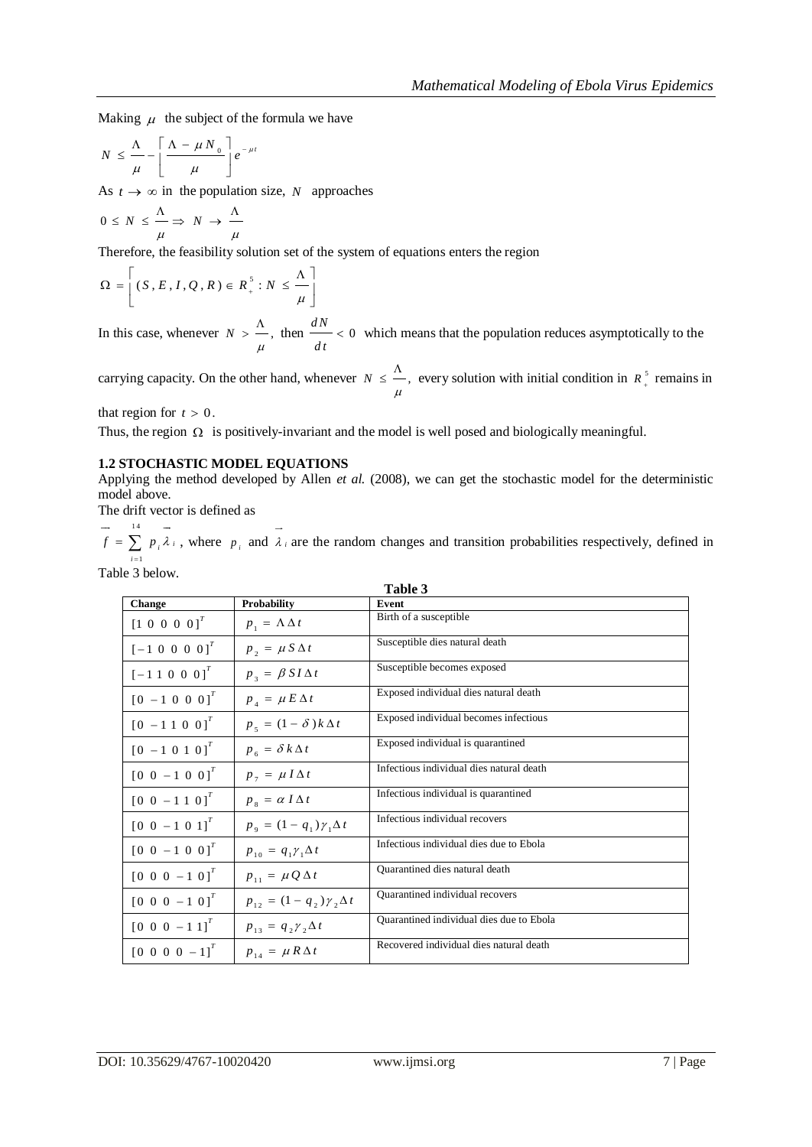Making  $\mu$  the subject of the formula we have

$$
N \leq \frac{\Lambda}{\mu} - \left[\frac{\Lambda - \mu N_0}{\mu}\right] e^{-\mu t}
$$

As  $t \to \infty$  in the population size, N approaches

$$
0 \leq N \leq \frac{\Lambda}{\mu} \Rightarrow N \to \frac{\Lambda}{\mu}
$$

Therefore, the feasibility solution set of the system of equations enters the region

$$
\Omega = \left[ (S, E, I, Q, R) \in R_+^5 : N \leq \frac{\Lambda}{\mu} \right]
$$

In this case, whenever  $N > -1$ ,  $\mu$  $> \frac{\Lambda}{\Lambda}$ , then  $\frac{dN}{\Lambda} < 0$ *dt*  $< 0$  which means that the population reduces asymptotically to the

carrying capacity. On the other hand, whenever  $N \leq -1$ ,  $\mu$  $\leq \frac{\Lambda}{\Lambda}$ , every solution with initial condition in  $R_{+}^{5}$  remains in

that region for  $t > 0$ .

Thus, the region  $\Omega$  is positively-invariant and the model is well posed and biologically meaningful.

## **1.2 STOCHASTIC MODEL EQUATIONS**

Applying the method developed by Allen *et al.* (2008), we can get the stochastic model for the deterministic model above.

The drift vector is defined as

 $14$ 1 *i i i*  $f = \sum p_i \lambda$  $=\sum_{i=1}^{\infty} p_i \lambda_i$ , where  $p_i$  and  $\lambda_i$  are the random changes and transition probabilities respectively, defined in Table 3 below.

|                                                      |                                                       | Table 3                                  |
|------------------------------------------------------|-------------------------------------------------------|------------------------------------------|
| <b>Change</b>                                        | Probability                                           | Event                                    |
| $[1 \ 0 \ 0 \ 0 \ 0]^{T}$                            | $p_1 = \Lambda \Delta t$                              | Birth of a susceptible                   |
| $[-1 \ 0 \ 0 \ 0 \ 0]^T$                             | $p_{2} = \mu S \Delta t$                              | Susceptible dies natural death           |
| $[-1 1 0 0 0]^{T}$                                   | $p_3 = \beta S I \Delta t$                            | Susceptible becomes exposed              |
| $[0 -1 0 0 0]^{T}$                                   | $p_A = \mu E \Delta t$                                | Exposed individual dies natural death    |
| $\begin{bmatrix} 0 & -1 & 1 & 0 & 0 \end{bmatrix}^T$ | $p_s = (1 - \delta) k \Delta t$                       | Exposed individual becomes infectious    |
| $\begin{bmatrix} 0 & -1 & 0 & 1 & 0 \end{bmatrix}^T$ | $p_{\epsilon} = \delta k \Delta t$                    | Exposed individual is quarantined        |
| $[0 \ 0 \ -1 \ 0 \ 0]^T$                             | $p_{\tau} = \mu I \Delta t$                           | Infectious individual dies natural death |
| $[0 \ 0 \ -1 \ 1 \ 0]^T$                             | $p_s = \alpha I \Delta t$                             | Infectious individual is quarantined     |
| $[0 \ 0 \ -1 \ 0 \ 1]^T$                             | $p_{\rm q} = (1 - q_{\rm p}) \gamma_{\rm q} \Delta t$ | Infectious individual recovers           |
| $[0 \ 0 \ -1 \ 0 \ 0]^T$                             | $p_{10} = q_1 \gamma_1 \Delta t$                      | Infectious individual dies due to Ebola  |
| $[0 \ 0 \ 0 \ -1 \ 0]^T$                             | $p_{11} = \mu Q \Delta t$                             | Quarantined dies natural death           |
| $[0 \ 0 \ 0 \ -1 \ 0]^T$                             | $p_{12} = (1 - q_2) \gamma_2 \Delta t$                | Quarantined individual recovers          |
| $[0 \ 0 \ 0 \ -1 \ 1]^T$                             | $p_{13} = q_2 \gamma_2 \Delta t$                      | Quarantined individual dies due to Ebola |
| $[0 \ 0 \ 0 \ 0 \ -1]^{T}$                           | $p_{14} = \mu R \Delta t$                             | Recovered individual dies natural death  |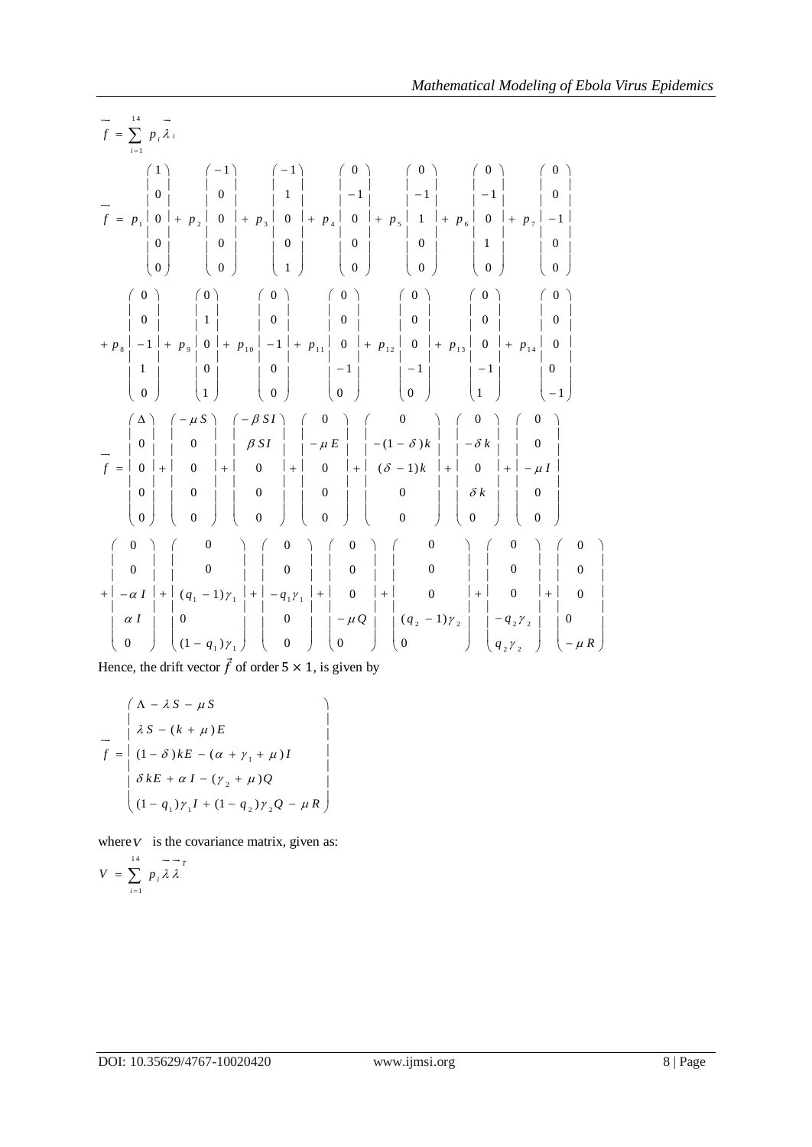$$
\vec{f} = \sum_{i=1}^{1} p_i \vec{A}_i
$$
\n
$$
\vec{f} = p_i \begin{pmatrix} 1 \\ 0 \\ 0 \\ 0 \\ 0 \end{pmatrix} = \begin{pmatrix} -1 \\ 0 \\ 0 \\ 0 \\ 0 \end{pmatrix} + p_i \begin{pmatrix} -1 \\ 0 \\ 0 \\ 0 \\ 0 \end{pmatrix} + p_i \begin{pmatrix} 0 \\ 0 \\ 0 \\ 0 \\ 1 \end{pmatrix} + p_i \begin{pmatrix} 0 \\ 0 \\ 0 \\ 0 \\ 0 \end{pmatrix} + p_i \begin{pmatrix} 0 \\ 0 \\ 0 \\ 0 \\ 0 \end{pmatrix} + p_i \begin{pmatrix} 0 \\ 0 \\ 0 \\ 0 \\ 0 \end{pmatrix} + p_i \begin{pmatrix} 0 \\ 0 \\ 0 \\ 0 \\ 0 \end{pmatrix} + p_i \begin{pmatrix} 0 \\ 0 \\ 0 \\ 0 \\ 0 \end{pmatrix} + p_i \begin{pmatrix} 0 \\ 0 \\ 0 \\ 0 \\ 0 \end{pmatrix} + p_i \begin{pmatrix} 0 \\ 0 \\ 0 \\ 0 \\ 0 \end{pmatrix} + p_i \begin{pmatrix} 0 \\ 0 \\ 0 \\ 0 \\ 0 \end{pmatrix} + p_i \begin{pmatrix} 0 \\ 0 \\ 0 \\ 0 \\ 0 \end{pmatrix} + p_i \begin{pmatrix} 0 \\ 0 \\ 0 \\ 0 \\ 0 \end{pmatrix} + p_i \begin{pmatrix} 0 \\ 0 \\ 0 \\ 0 \\ 0 \end{pmatrix} + p_i \begin{pmatrix} 0 \\ 0 \\ 0 \\ 0 \\ 0 \end{pmatrix} + p_i \begin{pmatrix} 0 \\ 0 \\ 0 \\ 0 \\ 0 \end{pmatrix} + p_i \begin{pmatrix} 0 \\ 0 \\ 0 \\ 0 \\ 0 \end{pmatrix} + p_i \begin{pmatrix} 0 \\ 0 \\ 0 \\ 0 \\ 0 \end{pmatrix} + p_i \begin{pmatrix} 0 \\ 0 \\ 0 \\ 0 \\ 0 \end{pmatrix} + p_i \begin{pmatrix} 0 \\ 0 \\ 0 \\ 0 \\ 0 \end{pmatrix} + p_i \begin{pmatrix} 0 \\ 0 \\ 0 \\ 0 \\ 0 \end{pmatrix} + p_i \begin{pmatrix} 0 \\ 0 \\ 0 \\ 0 \\ 0 \end{pmatrix} + p_i \begin{pmatrix} 0 \\ 0 \\ 0 \\ 0 \\ 0 \end{pmatrix} + p_i \begin{pmatrix} 0 \\ 0 \\ 0 \\ 0 \\ 0 \end{pmatrix
$$

Hence, the drift vector  $\vec{f}$  of order  $5 \times 1$ , is given by

$$
f = \begin{pmatrix} \Lambda - \lambda S - \mu S \\ \lambda S - (k + \mu) E \\ (1 - \delta) kE - (\alpha + \gamma_1 + \mu)I \end{pmatrix}
$$
  
\n
$$
\delta kE + \alpha I - (\gamma_2 + \mu)Q
$$
  
\n
$$
(1 - q_1)\gamma_1 I + (1 - q_2)\gamma_2 Q - \mu R
$$

where  $V$  is the covariance matrix, given as:

$$
V = \sum_{i=1}^{14} p_i \overrightarrow{\lambda} \overrightarrow{\lambda}
$$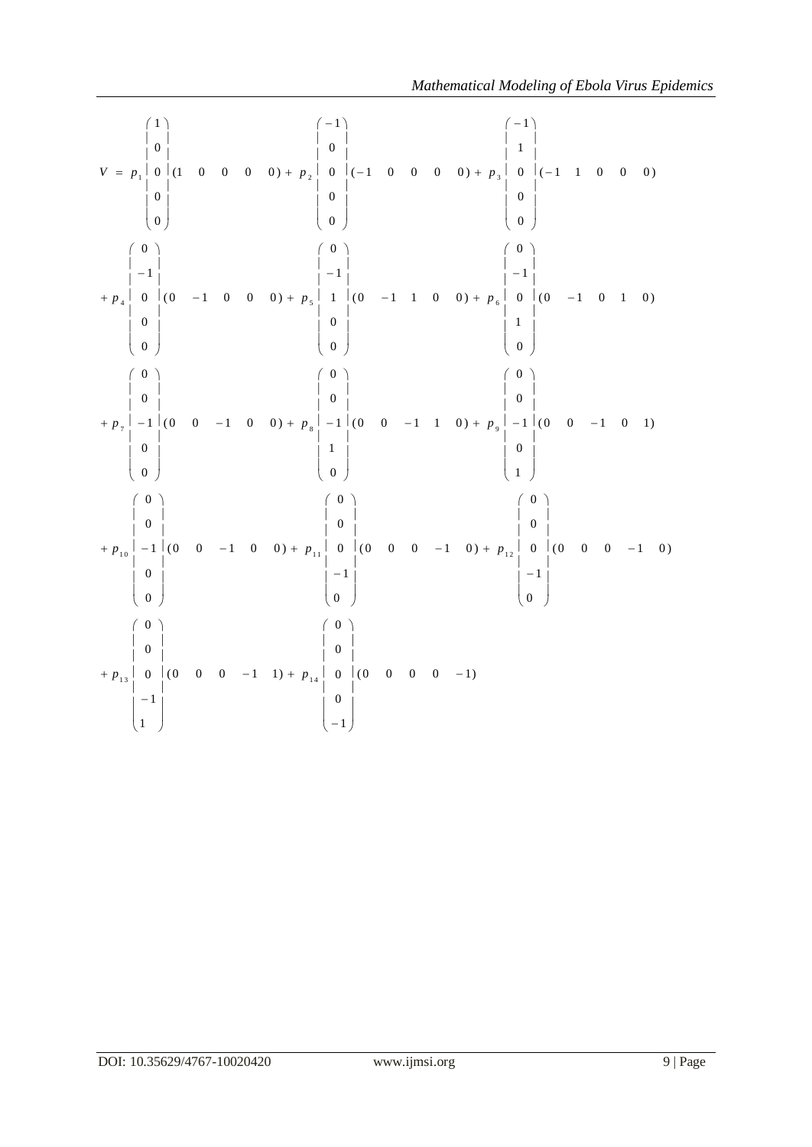|                                                                                                                                                                                                                                                                                                                                             | Mathematical Modeling of Ebola Virus Epidemic                          |
|---------------------------------------------------------------------------------------------------------------------------------------------------------------------------------------------------------------------------------------------------------------------------------------------------------------------------------------------|------------------------------------------------------------------------|
| $V = p_1 \begin{bmatrix} 0 & 1 & 0 & 0 & 0 & 0 & 0 \ 0 & 0 & 0 & 0 & 0 & 0 \ 0 & 0 & 0 & 0 & 0 \end{bmatrix} + p_2 \begin{bmatrix} 0 & 1 & 0 & 0 & 0 & 0 & 0 \ 0 & 0 & 0 & 0 & 0 & 0 \ 0 & 0 & 0 & 0 & 0 & 0 \ 0 & 0 & 0 & 0 & 0 & 0 \end{bmatrix} + p_3 \begin{bmatrix} 0 & 1 & 1 & 0 & 0 & 0 \ 0 & 0 & 0 & 0 & 0 \ 0 & 0 & 0 & 0 & 0 \ 0$ |                                                                        |
| $\begin{pmatrix} 0 \\   \\ -1 \end{pmatrix}$<br>$\begin{array}{c} \left(\begin{array}{c} 0 \\ 0 \end{array}\right) \\ \left[-1\begin{array}{c} \end{array}\right] \\ \left[-1\begin{array}{c} \end{array}\right] \end{array}$                                                                                                               |                                                                        |
| $\left(\begin{array}{c} 0 \\ 0 \\ 0 \end{array}\right)$<br>+ $p_7$   -1   (0 0 -1 0 0) + $p_8$   -1   (0 0 -1 1 0) + $p_9$   -1   (0 0 -1 0 1)<br>$\begin{pmatrix} 0 \\ 0 \\ 0 \end{pmatrix}$                                                                                                                                               | $\begin{array}{c c} & \circ & \circ \\ \hline & 0 & \circ \end{array}$ |
| $+ p_{10}$ -1 (0 0 -1 0 0) + $p_{11}$ 0 (0 0 0 -1 0) + $p_{12}$ 0 (0 0 0 -1 0)<br>$\begin{pmatrix} -1 \\ 0 \end{pmatrix}$<br>$\overline{0}$<br>$\mathbf{0}$                                                                                                                                                                                 | $\begin{vmatrix} -1 \\ 1 \end{vmatrix}$                                |
| (0)<br>$\left(\begin{array}{c} 0 \\ 0 \\ 0 \end{array}\right)$<br>$\begin{matrix} 0 & 1 \\ 0 & 1 \end{matrix}$<br>$+ p_{13}$ 0 (0 0 0 -1 1) + $p_{14}$ 0 (0 0 0 0 -1)<br>$\boldsymbol{0}$<br>$-1$<br>$-1$<br>$\left(1\right)$                                                                                                               |                                                                        |
|                                                                                                                                                                                                                                                                                                                                             |                                                                        |
|                                                                                                                                                                                                                                                                                                                                             |                                                                        |
| DOI: 10.35629/4767-10020420                                                                                                                                                                                                                                                                                                                 | www.ijmsi.org<br>9   Page                                              |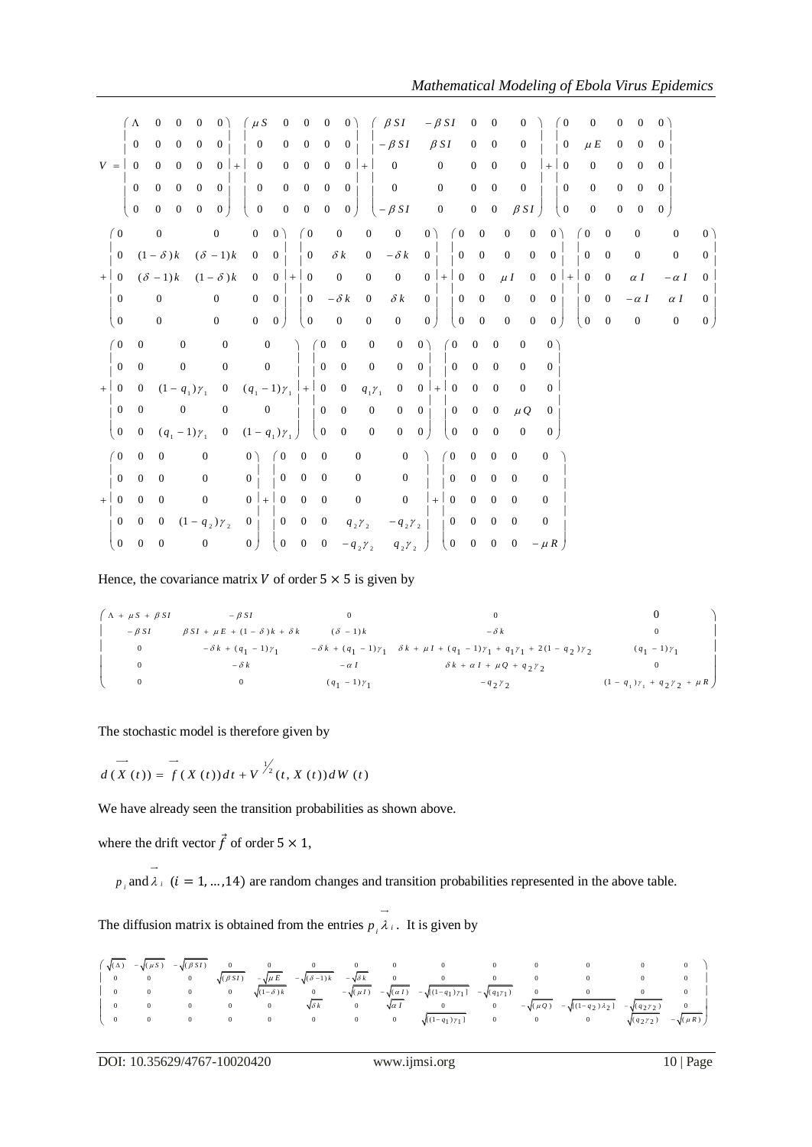|                                                                  |                                                                                    |                                                                                    |                                                                                                     |                                                                        |                                                                                        |                                                                                              |                                                                                         |                                                                 |                                                                      |                                                                                  |                                                                                                                     |                                                                                        |                                                                                                 |                                                                          |                                                            |                                                                                    |                                                                                    |                                                                              | Mathematical Modeling of Ebola Virus Epidemics                                                                                                                              |                                                                                   |                                                                                        |                                                                               |                                                                                        |                                                                               |                                                  |                                                                             |                                                                                     |
|------------------------------------------------------------------|------------------------------------------------------------------------------------|------------------------------------------------------------------------------------|-----------------------------------------------------------------------------------------------------|------------------------------------------------------------------------|----------------------------------------------------------------------------------------|----------------------------------------------------------------------------------------------|-----------------------------------------------------------------------------------------|-----------------------------------------------------------------|----------------------------------------------------------------------|----------------------------------------------------------------------------------|---------------------------------------------------------------------------------------------------------------------|----------------------------------------------------------------------------------------|-------------------------------------------------------------------------------------------------|--------------------------------------------------------------------------|------------------------------------------------------------|------------------------------------------------------------------------------------|------------------------------------------------------------------------------------|------------------------------------------------------------------------------|-----------------------------------------------------------------------------------------------------------------------------------------------------------------------------|-----------------------------------------------------------------------------------|----------------------------------------------------------------------------------------|-------------------------------------------------------------------------------|----------------------------------------------------------------------------------------|-------------------------------------------------------------------------------|--------------------------------------------------|-----------------------------------------------------------------------------|-------------------------------------------------------------------------------------|
|                                                                  | $(\Lambda$<br>$\boldsymbol{0}$                                                     | $\mathbf 0$<br>$\mathbf{0}$                                                        | 0<br>$\overline{0}$                                                                                 | $\boldsymbol{0}$<br>$\mathbf{0}$                                       | 0 <sup>2</sup><br>$\overline{0}$                                                       | $\mu S$<br>$\mathbf{0}$                                                                      |                                                                                         | $\overline{0}$<br>$\overline{0}$                                | $\boldsymbol{0}$<br>$\mathbf{0}$                                     | $\mathbf{0}$<br>$\overline{0}$                                                   | 0 <sup>2</sup><br>0 <sub>1</sub>                                                                                    |                                                                                        | $\beta SI$<br>$-\beta SI$                                                                       |                                                                          | $-\beta SI$<br>$\beta SI$                                  |                                                                                    | $\boldsymbol{0}$<br>$\boldsymbol{0}$                                               | $\boldsymbol{0}$<br>$\mathbf{0}$                                             | 0<br>$\boldsymbol{0}$                                                                                                                                                       |                                                                                   | $\theta$<br>$\overline{0}$                                                             | 0<br>$\mu$ $E$                                                                | $\boldsymbol{0}$<br>$\overline{0}$                                                     | 0<br>$\overline{0}$                                                           | $\overline{0}$<br>$\overline{0}$                 |                                                                             |                                                                                     |
| $V =$                                                            | $\overline{0}$<br>$\boldsymbol{0}$<br>$\mathbf{0}$                                 | $\mathbf{0}$<br>$\mathbf{0}$<br>$\mathbf{0}$                                       | $\overline{0}$<br>$\overline{0}$<br>$\overline{0}$                                                  | $\overline{0}$<br>$\mathbf{0}$<br>$\mathbf{0}$                         | $0$   +<br>$\overline{0}$<br>0 <sup>1</sup>                                            | $\boldsymbol{0}$<br>$\boldsymbol{0}$<br>$\boldsymbol{0}$                                     |                                                                                         | $\overline{0}$<br>$\mathbf{0}$<br>$\boldsymbol{0}$              | $\mathbf{0}$<br>$\overline{0}$<br>$\overline{0}$                     | $\overline{0}$<br>$\overline{0}$<br>$\overline{0}$                               | $0$ +<br>0 <sub>1</sub><br>$\vert 0 \vert$                                                                          |                                                                                        | $\mathbf{0}$<br>$\mathbf{0}$<br>$\left(-\beta SI\right)$                                        |                                                                          | $\boldsymbol{0}$<br>$\boldsymbol{0}$<br>$\boldsymbol{0}$   |                                                                                    | $\mathbf{0}$<br>$\mathbf{0}$<br>$\boldsymbol{0}$                                   | $\mathbf{0}$<br>$\mathbf{0}$<br>$\overline{0}$                               | $\overline{0}$<br>$\mathbf{0}$<br>$\beta SI$                                                                                                                                | $+$                                                                               | $\theta$<br>$\mathbf{0}$<br>$\begin{pmatrix} 0 \end{pmatrix}$                          | $\overline{0}$<br>$\mathbf{0}$<br>$\boldsymbol{0}$                            | $\overline{0}$<br>$\overline{0}$<br>$\mathbf{0}$                                       | $\overline{0}$<br>$\overline{0}$<br>$\boldsymbol{0}$                          | $\overline{0}$<br>$\overline{0}$<br>$\mathbf{0}$ |                                                                             |                                                                                     |
| (0)<br>$\mathbf{0}$<br>$+$ 0<br>$\theta$<br>$\overline{0}$       |                                                                                    | $\mathbf{0}$<br>$(1 - \delta)k$<br>$(\delta - 1)k$<br>$\Omega$<br>$\boldsymbol{0}$ |                                                                                                     |                                                                        | $\mathbf{0}$<br>$(\delta - 1)k$<br>$(1 - \delta)k$<br>$\overline{0}$<br>$\overline{0}$ | $\boldsymbol{0}$<br>$\boldsymbol{0}$<br>$\boldsymbol{0}$<br>$\overline{0}$<br>$\overline{0}$ | 0 <sup>2</sup><br>$\overline{0}$<br>0 <sup>1</sup><br>$\overline{0}$<br>$\vert 0 \vert$ |                                                                 | (0)<br>$\mathbf{0}$<br>$+ 0$<br>$\bf{0}$<br>$\overline{0}$           |                                                                                  | $\boldsymbol{0}$<br>$\delta$ $k$<br>$\boldsymbol{0}$<br>$-\delta k$<br>$\boldsymbol{0}$                             | $\boldsymbol{0}$<br>$\boldsymbol{0}$<br>$\mathbf{0}$<br>$\overline{0}$<br>$\mathbf{0}$ | $\boldsymbol{0}$<br>$-\delta\,k$<br>$\boldsymbol{0}$<br>$\delta k$<br>$\mathbf{0}$              | 0)<br>0 <sub>1</sub><br>0 <sub>1</sub><br>$\vert 0 \vert$                | $0$   +                                                    | (0)<br>$\overline{0}$<br>$\overline{0}$<br>$\boldsymbol{0}$<br>$\overline{0}$      | $\mathbf{0}$<br>$\mathbf{0}$<br>$\overline{0}$<br>$\boldsymbol{0}$<br>$\mathbf{0}$ |                                                                              | $\boldsymbol{0}$<br>$\boldsymbol{0}$<br>$\boldsymbol{0}$<br>$\boldsymbol{0}$<br>$\mu I$<br>$\mathbf{0}$<br>$\boldsymbol{0}$<br>$\mathbf{0}$<br>$\mathbf{0}$<br>$\mathbf{0}$ |                                                                                   | 0 <sup>2</sup><br>$\overline{0}$<br>0 <sup>1</sup><br>$\overline{0}$<br>0 <sup>1</sup> | $\overline{0}$<br>$\boldsymbol{0}$<br>$+$ 0<br>$\mathbf{0}$<br>$\overline{0}$ | $\boldsymbol{0}$<br>$\mathbf{0}$<br>$\mathbf{0}$<br>$\overline{0}$<br>$\boldsymbol{0}$ | $\mathbf{0}$<br>$\boldsymbol{0}$<br>$\alpha I$<br>$-\alpha I$<br>$\mathbf{0}$ |                                                  | $\overline{0}$<br>$\mathbf{0}$<br>$-\alpha I$<br>$\alpha I$<br>$\mathbf{0}$ | $0^{\circ}$<br>$\overline{0}$<br>$\overline{0}$<br>$\overline{0}$<br>$\overline{0}$ |
| (0)<br>$\mathbf{0}$<br>$+ 0$<br>$\overline{0}$<br>$\overline{0}$ | $\overline{0}$<br>$\mathbf{0}$<br>$\overline{0}$<br>$\mathbf{0}$<br>$\overline{0}$ |                                                                                    | $\mathbf{0}$<br>$\boldsymbol{0}$<br>$(1 - q_1)\gamma_1$<br>$\boldsymbol{0}$<br>$(q_1 - 1) \gamma_1$ |                                                                        | $\mathbf{0}$<br>$\boldsymbol{0}$<br>$\mathbf{0}$<br>$\boldsymbol{0}$<br>$\overline{0}$ | $(q_1 - 1)\gamma_1$ + 0<br>$(1 - q_1)\gamma_1$                                               | $\boldsymbol{0}$<br>$\mathbf{0}$<br>$\boldsymbol{0}$                                    |                                                                 |                                                                      | $\overline{0}$<br>$\mathbf{0}$<br>$\boldsymbol{0}$<br>$\overline{0}$             | $\mathbf{0}$<br>$\mathbf{0}$<br>$\overline{0}$<br>$\mathbf{0}$<br>$\bf{0}$                                          | $\boldsymbol{0}$<br>$\mathbf{0}$<br>$q_1r_1$<br>$\boldsymbol{0}$<br>$\mathbf{0}$       | $\mathbf{0}$<br>$\overline{0}$<br>$\mathbf{0}$<br>$\mathbf{0}$<br>$\overline{0}$                | 0)<br>$\mathbf{0}$<br>$\overline{0}$<br>$\overline{0}$<br>$\overline{0}$ | $ + $                                                      | $\overline{0}$<br>$\overline{0}$<br>$\mathbf{0}$<br>$\overline{0}$<br>$\mathbf{0}$ | $\mathbf{0}$<br>$\theta$<br>$\mathbf{0}$<br>$\mathbf{0}$<br>$\theta$               | $\mathbf{0}$<br>$\mathbf{0}$<br>$\mathbf{0}$<br>$\mathbf{0}$<br>$\theta$     | $\mathbf{0}$<br>$\overline{0}$<br>$\overline{0}$<br>$\mu Q$<br>$\overline{0}$                                                                                               | $0^{\circ}$<br>$\overline{0}$<br>$\overline{0}$<br>$\mathbf{0}$<br>$\overline{0}$ |                                                                                        |                                                                               |                                                                                        |                                                                               |                                                  |                                                                             |                                                                                     |
| (0)<br>$\overline{0}$<br>$+$ 0<br>$\overline{0}$<br>$\mathbf{0}$ | $\boldsymbol{0}$<br>$\mathbf{0}$<br>$\Omega$<br>$\mathbf{0}$<br>$\boldsymbol{0}$   | $\mathbf{0}$<br>$\boldsymbol{0}$<br>$\theta$<br>$\overline{0}$<br>$\mathbf{0}$     |                                                                                                     | $\boldsymbol{0}$<br>$\mathbf{0}$<br>$\overline{0}$<br>$\boldsymbol{0}$ | $(1 - q_{2}) \gamma_{2}$                                                               | 0)<br>$\mathbf{0}$<br>$0 + 0$<br>$\overline{0}$<br>$\mathbf{0}$                              |                                                                                         | $\theta$<br>$\boldsymbol{0}$<br>$0 \quad 0$<br>$\boldsymbol{0}$ | $\mathbf{0}$<br>$\boldsymbol{0}$<br>$\mathbf{0}$<br>$\boldsymbol{0}$ | $\mathbf{0}$<br>$\mathbf{0}$<br>$\mathbf{0}$<br>$\mathbf{0}$<br>$\boldsymbol{0}$ | $\boldsymbol{0}$<br>$\mathbf{0}$<br>$\boldsymbol{0}$<br>$q_2$ $\gamma_2$<br>$-q$ <sub>2</sub> $\gamma$ <sub>2</sub> |                                                                                        | $\boldsymbol{0}$<br>$\boldsymbol{0}$<br>$\overline{0}$<br>$- q_2 \gamma_2$<br>$q_{2}\gamma_{2}$ |                                                                          | $\theta$<br>$+$ $\mid$<br>$\overline{0}$<br>$\overline{0}$ | $\boldsymbol{0}$<br>$\overline{0}$                                                 | $\mathbf{0}$<br>$\overline{0}$<br>$\Omega$<br>$\overline{0}$<br>$\mathbf{0}$       | $\mathbf{0}$<br>$\overline{0}$<br>$\Omega$<br>$\overline{0}$<br>$\mathbf{0}$ | $\boldsymbol{0}$<br>$\overline{0}$<br>$\theta$<br>$\overline{0}$<br>$\boldsymbol{0}$                                                                                        | $\mathbf{0}$<br>$\overline{0}$<br>$\overline{0}$<br>$\mathbf{0}$<br>$-\mu R$      |                                                                                        |                                                                               |                                                                                        |                                                                               |                                                  |                                                                             |                                                                                     |

|                                   | Hence, the covariance matrix V of order $5 \times 5$ is given by |                     |                                                                                                                                           |                                           |
|-----------------------------------|------------------------------------------------------------------|---------------------|-------------------------------------------------------------------------------------------------------------------------------------------|-------------------------------------------|
| $\int \Lambda + \mu S + \beta SI$ | $-\beta SI$                                                      | $\mathbf{0}$        | $\Omega$                                                                                                                                  |                                           |
| $- \beta SI$                      | $\beta SI + \mu E + (1 - \delta)k + \delta k$                    | $(\delta - 1)k$     | $-\delta k$                                                                                                                               | $\mathbf{0}$                              |
| $\mathbf{0}$                      |                                                                  |                     | $-\delta k + (q_1 - 1)\gamma_1$ $-\delta k + (q_1 - 1)\gamma_1$ $\delta k + \mu I + (q_1 - 1)\gamma_1 + q_1\gamma_1 + 2(1 - q_2)\gamma_2$ | $(q_1 - 1) \gamma_1$                      |
| $\mathbf{0}$                      | $-\delta k$                                                      | $-\alpha I$         | $\delta k + \alpha I + \mu Q + q_2 \gamma_2$                                                                                              | $\mathbf{0}$                              |
| $\mathbf{0}$                      | $\bf{0}$                                                         | $(q_1 - 1)\gamma_1$ | $-q2 \gamma2$                                                                                                                             | $(1 - q_1)\gamma_1 + q_2\gamma_2 + \mu R$ |

The stochastic model is therefore given by

 $\frac{d}{dt}(X(t)) = f(X(t))dt + V^{\frac{1}{2}}(t, X(t))dW(t)$ 

We have already seen the transition probabilities as shown above.

where the drift vector  $\vec{f}$  of order  $5 \times 1$ ,

 $p_i$  and  $\lambda_i$  ( $i = 1, ..., 14$ ) are random changes and transition probabilities represented in the above table.

The diffusion matrix is obtained from the entries  $p_i \lambda_i$ . It is given by



DOI: 10.35629/4767-10020420 www.ijmsi.org 10 | Page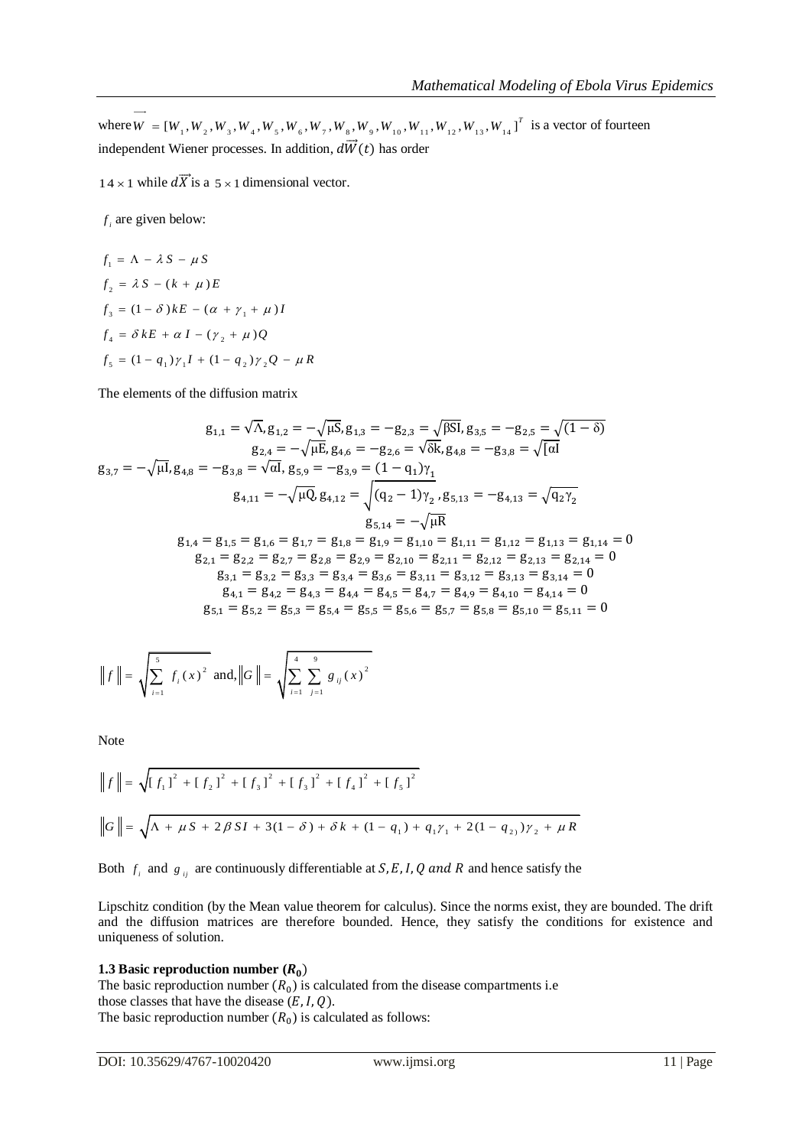where  $\vec{W} = [W_1, W_2, W_3, W_4, W_5, W_6, W_7, W_8, W_9, W_{10}, W_{11}, W_{12}, W_{13}, W_{14}]^T$  is a vector of fourteen independent Wiener processes. In addition,  $d\vec{W}(t)$  has order

 $14 \times 1$  while dX is a  $5 \times 1$  dimensional vector.

*i f* are given below:

$$
f_1 = \Lambda - \lambda S - \mu S
$$
  
\n
$$
f_2 = \lambda S - (k + \mu)E
$$
  
\n
$$
f_3 = (1 - \delta)kE - (\alpha + \gamma_1 + \mu)I
$$
  
\n
$$
f_4 = \delta kE + \alpha I - (\gamma_2 + \mu)Q
$$
  
\n
$$
f_5 = (1 - q_1)\gamma_1I + (1 - q_2)\gamma_2Q - \mu R
$$

The elements of the diffusion matrix

$$
g_{1,1} = \sqrt{\Lambda}, g_{1,2} = -\sqrt{\mu S}, g_{1,3} = -g_{2,3} = \sqrt{\beta S I}, g_{3,5} = -g_{2,5} = \sqrt{(1-\delta)}
$$
\n
$$
g_{2,4} = -\sqrt{\mu E}, g_{4,6} = -g_{2,6} = \sqrt{\delta k}, g_{4,8} = -g_{3,8} = \sqrt{[\alpha I]}
$$
\n
$$
g_{3,7} = -\sqrt{\mu I}, g_{4,8} = -g_{3,8} = \sqrt{\alpha I}, g_{5,9} = -g_{3,9} = (1 - q_1)\gamma_1
$$
\n
$$
g_{4,11} = -\sqrt{\mu Q}, g_{4,12} = \sqrt{(q_2 - 1)\gamma_2}, g_{5,13} = -g_{4,13} = \sqrt{q_2\gamma_2}
$$
\n
$$
g_{5,14} = -\sqrt{\mu R}
$$
\n
$$
g_{1,4} = g_{1,5} = g_{1,6} = g_{1,7} = g_{1,8} = g_{1,9} = g_{1,10} = g_{1,11} = g_{1,12} = g_{1,13} = g_{1,14} = 0
$$
\n
$$
g_{2,1} = g_{2,2} = g_{2,7} = g_{2,8} = g_{2,9} = g_{2,10} = g_{2,11} = g_{2,12} = g_{2,13} = g_{2,14} = 0
$$
\n
$$
g_{3,1} = g_{3,2} = g_{3,3} = g_{3,4} = g_{3,6} = g_{3,11} = g_{3,12} = g_{3,13} = g_{3,14} = 0
$$
\n
$$
g_{4,1} = g_{4,2} = g_{4,3} = g_{4,4} = g_{4,5} = g_{4,7} = g_{4,9} = g_{4,10} = g_{4,14} = 0
$$
\n
$$
g_{5,1} = g_{5,2} = g_{5,3} = g_{5,4} = g_{5,5} = g_{5,6} = g_{5,7} = g_{5,8} = g_{5,10} = g_{5,11} = 0
$$

$$
|| f || = \sqrt{\sum_{i=1}^{5} f_i(x)^2}
$$
 and,  $||G|| = \sqrt{\sum_{i=1}^{4} \sum_{j=1}^{9} g_{ij}(x)^2}$ 

Note

$$
||f|| = \sqrt{[f_1]^2 + [f_2]^2 + [f_3]^2 + [f_3]^2 + [f_4]^2 + [f_5]^2}
$$
  

$$
||G|| = \sqrt{\Lambda + \mu S + 2\beta SI + 3(1 - \delta) + \delta k + (1 - q_1) + q_1 \gamma_1 + 2(1 - q_2) \gamma_2 + \mu R}
$$

Both  $f_i$  and  $g_{ij}$  are continuously differentiable at  $S, E, I, Q$  and  $R$  and hence satisfy the

Lipschitz condition (by the Mean value theorem for calculus). Since the norms exist, they are bounded. The drift and the diffusion matrices are therefore bounded. Hence, they satisfy the conditions for existence and uniqueness of solution.

## **1.3 Basic reproduction number**  $(R_0)$

The basic reproduction number  $(R_0)$  is calculated from the disease compartments i.e those classes that have the disease  $(E, I, Q)$ . The basic reproduction number  $(R_0)$  is calculated as follows: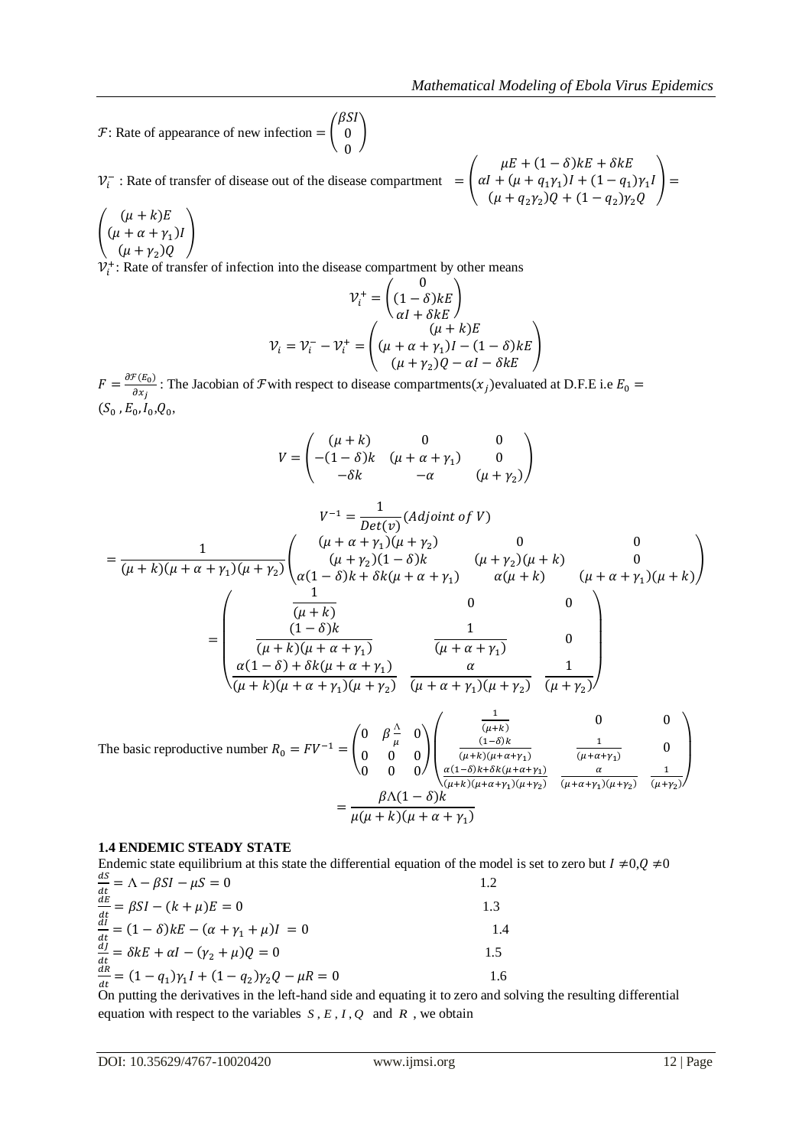$F$ : Rate of appearance of new infection  $=$ β  $0<sup>1</sup>$  $\boldsymbol{0}$ 

(

 $V_i^-$ : Rate of transfer of disease out of the disease compartment  $\mu$  $\alpha I + (\mu + q_1 \gamma_1)I + (1 - q_1) \gamma_1 I$  $(\mu + q_2 \gamma_2)Q + (1 - q_2)$  $\Box$ 

L  $(\mu + \alpha + \gamma_1)$  $(\mu + \gamma_2)$  $\overline{\phantom{a}}$  $V_i^+$ : Rate of transfer of infection into the disease compartment by other means

$$
\mathcal{V}_i^+ = \begin{pmatrix} 0 \\ (1 - \delta)kE \\ \alpha I + \delta kE \end{pmatrix}
$$

$$
\mathcal{V}_i = \mathcal{V}_i^- - \mathcal{V}_i^+ = \begin{pmatrix} (\mu + \alpha + \gamma_1)I - (1 - \delta)kE \\ (\mu + \gamma_2)Q - \alpha I - \delta kE \end{pmatrix}
$$

 $F = \frac{\partial}{\partial x}$  $\frac{\partial (E_0)}{\partial x_i}$ : The Jacobian of F with respect to disease compartments( $x_j$ ) evaluated at D.F.E i.e.  $(S_0, E_0, I_0, Q_0,$ 

$$
V = \begin{pmatrix} (\mu + k) & 0 & 0 \\ -(1 - \delta)k & (\mu + \alpha + \gamma_1) & 0 \\ -\delta k & -\alpha & (\mu + \gamma_2) \end{pmatrix}
$$
  

$$
V^{-1} = \frac{1}{Det(\nu)}(Adjoint of V)
$$
  

$$
= \frac{1}{(\mu + k)(\mu + \alpha + \gamma_1)(\mu + \gamma_2)} \begin{pmatrix} (\mu + \alpha + \gamma_1)(\mu + \gamma_2) & 0 & 0 \\ (\mu + \gamma_2)(1 - \delta)k & (\mu + \gamma_2)(\mu + k) & 0 \\ \alpha(1 - \delta)k + \delta k(\mu + \alpha + \gamma_1) & \alpha(\mu + k) & (\mu + \alpha + \gamma_1)(\mu + k) \end{pmatrix}
$$
  

$$
= \begin{pmatrix} \frac{1}{(\mu + k)} & 0 & 0 \\ \frac{1}{(\mu + k)(\mu + \alpha + \gamma_1)} & \frac{1}{(\mu + \alpha + \gamma_1)} & 0 \\ \frac{\alpha(1 - \delta) + \delta k(\mu + \alpha + \gamma_1)}{(\mu + \alpha + \gamma_1)(\mu + \gamma_2)} & \frac{\alpha}{(\mu + \alpha + \gamma_1)(\mu + \gamma_2)} & \frac{1}{(\mu + \gamma_2)} \end{pmatrix}
$$

The basic reproductive number  $0 \theta^{\frac{\Lambda}{2}}$  $\frac{\Lambda}{\mu}$  0  $\boldsymbol{0}$  $\boldsymbol{0}$  $\overline{\phantom{a}}$  $\overline{\phantom{a}}$ L L  $\frac{1}{(\mu+k)}$  0 (  $(\mu+k)(\mu+\alpha+\gamma_1)$  $\mathbf{1}$  $\frac{1}{(\mu + \alpha + \gamma_1)}$  0  $\alpha$  $(\mu+k)(\mu+\alpha+\gamma_1)(\mu+\gamma_2)$  $\alpha$  $(\mu+\alpha+\gamma_1)(\mu+\gamma_2)$  $\mathbf{1}$  $(\mu + \gamma_2)$  $\overline{\phantom{a}}$  $\overline{\phantom{a}}$  $=\frac{\beta}{\sqrt{2}}$  $\mu(\mu + k)(\mu + \alpha + \gamma_1)$ 

#### **1.4 ENDEMIC STEADY STATE**

Endemic state equilibrium at this state the differential equation of the model is set to zero but  $I \neq 0, Q \neq 0$ d  $\frac{dS}{dt} = \Lambda - \beta SI - \mu S = 0$ 1.2

| $\frac{dE}{dt} = \beta SI - (k + \mu)E = 0$                                          |     |
|--------------------------------------------------------------------------------------|-----|
| $\frac{di}{dt} = (1 - \delta)kE - (\alpha + \gamma_1 + \mu)I = 0$                    | 1.4 |
| $\frac{\partial f}{\partial t} = \delta k E + \alpha I - (\gamma_2 + \mu) Q = 0$     | 15  |
| $\frac{\ddot{d}\dot{R}}{dt} = (1 - q_1)\gamma_1 I + (1 - q_2)\gamma_2 Q - \mu R = 0$ | l.6 |

 $\frac{dt}{dt}$  C=  $\frac{q_1}{r_1}$  (=  $\frac{q_2}{r_2}$   $\frac{q_3}{r_3}$   $\frac{r_4}{r_1}$   $\cdots$   $\cdots$   $\cdots$   $\cdots$   $\cdots$   $\cdots$   $\cdots$   $\cdots$   $\cdots$   $\cdots$   $\cdots$   $\cdots$   $\cdots$   $\cdots$   $\cdots$   $\cdots$   $\cdots$   $\cdots$   $\cdots$   $\cdots$   $\cdots$   $\cdots$   $\cdots$   $\cdots$   $\cdots$ equation with respect to the variables  $S, E, I, Q$  and  $R$ , we obtain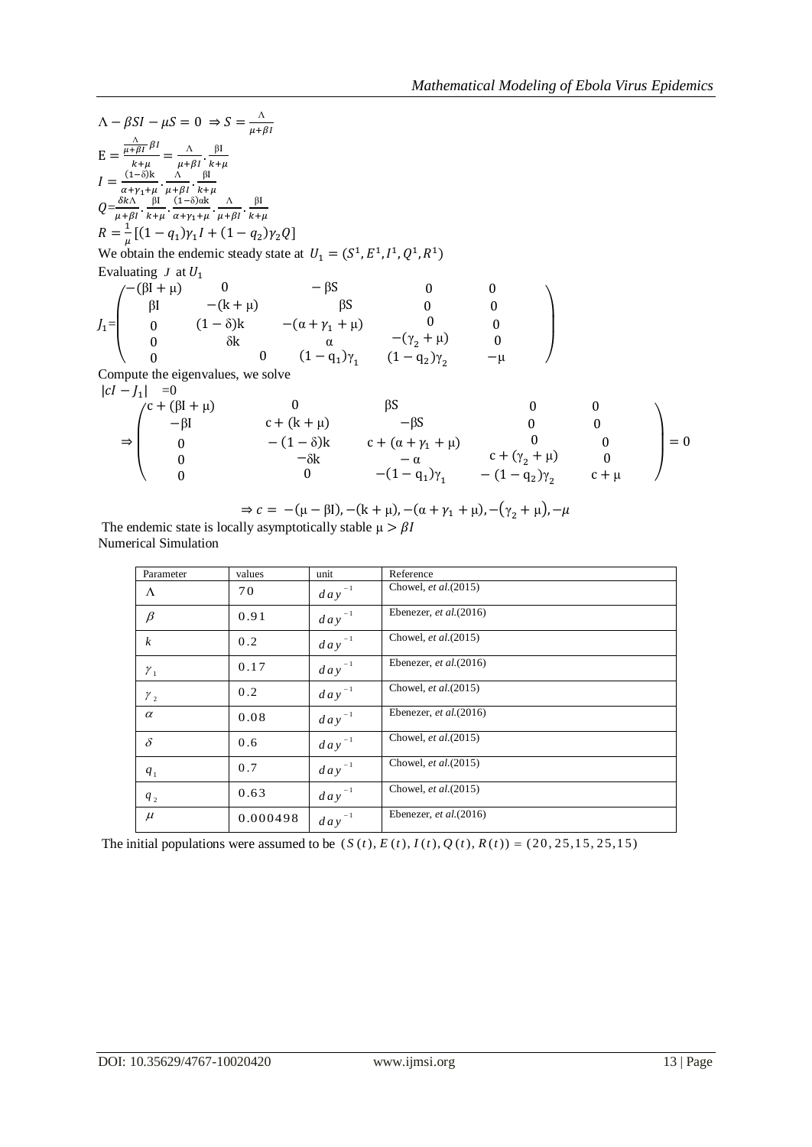$\Lambda - \beta SI - \mu S = 0 \Rightarrow S = \frac{\Lambda}{\mu}$  $\mu$ E  $\frac{\Lambda}{\mu + \Lambda}$  $\frac{\overline{AB} P^1}{k+\mu} = \frac{\Lambda}{\mu+\mu}$  $\mu$ β  $\boldsymbol{k}$  $I=\frac{0}{\alpha}$  $\frac{(1-\delta)k}{\alpha+\gamma_1+\mu} \cdot \frac{\Lambda}{\mu+\Lambda}$  $\mu$ β  $\frac{p}{k+\mu}$  $Q=\frac{\delta}{a}$  $\mu$ β  $\frac{\beta I}{k+\mu} \cdot \frac{(}{a}$  $\frac{(1-\delta)\alpha k}{\alpha+\gamma_1+\mu}\cdot\frac{\Lambda}{\mu+\Lambda}$  $\mu$ β  $\boldsymbol{k}$  $R = \frac{1}{a}$  $\frac{1}{\mu}[(1-q_1)\gamma_1I + (1-q_2)]$ We obtain the endemic steady state at  $U_1 = (S^1, E^1, I^1, Q^1, R^1)$ Evaluating *J* at  $J_1=$  $\overline{\phantom{a}}$ L L  $(-(\beta I + \mu))$ β  $\boldsymbol{0}$  $\boldsymbol{0}$  $\boldsymbol{0}$ (  $\delta$ 0  $(1 - q_1)\gamma_1$  $\boldsymbol{0}$  $-(\gamma_{2} +$  $(1 - q_2)\gamma_2$  $\boldsymbol{0}$  $\boldsymbol{0}$  $\overline{\phantom{0}}$  $\overline{\phantom{a}}$  $\overline{\phantom{a}}$ Compute the eigenvalues, we solve  $|cI - J_1| = 0$  $\Rightarrow$ L L  $\mathfrak{c}$  $\overline{\phantom{0}}$  $\boldsymbol{0}$  $\boldsymbol{0}$  $\boldsymbol{0}$  $\overline{\phantom{0}}$ — 0  $-(1-q_1)\gamma_1$  $\boldsymbol{0}$  $c + (\gamma_2 +$  $-(1 - q_2)\gamma_2$  $\boldsymbol{0}$  $\boldsymbol{0}$  $\mathbf{C}$ - I - 1  $=$ 

$$
\Rightarrow c = -(\mu - \beta I), -(k + \mu), -(\alpha + \gamma_1 + \mu), -(\gamma_2 + \mu), -\mu
$$
  
ly asymptotically stable  $\mu > \beta I$ 

The endemic state is local Numerical Simulation

 $\overline{\phantom{0}}$ 

| Parameter        | values   | unit       | Reference                 |
|------------------|----------|------------|---------------------------|
| $\Lambda$        | 70       | $day^{-1}$ | Chowel, et al. (2015)     |
| $\beta$          | 0.91     | $day^{-1}$ | Ebenezer, et al. $(2016)$ |
| $\boldsymbol{k}$ | 0.2      | $day^{-1}$ | Chowel, et al. (2015)     |
| $\mathcal{Y}_1$  | 0.17     | $day^{-1}$ | Ebenezer, et al. $(2016)$ |
| $y_{2}$          | 0.2      | $day^{-1}$ | Chowel, et al.(2015)      |
| $\alpha$         | 0.08     | $day^{-1}$ | Ebenezer, et al. $(2016)$ |
| $\delta$         | 0.6      | $day^{-1}$ | Chowel, et al. (2015)     |
| $q_{1}$          | 0.7      | $day^{-1}$ | Chowel, et al. (2015)     |
| $q_2$            | 0.63     | $day^{-1}$ | Chowel, et al. (2015)     |
| $\mu$            | 0.000498 | $day^{-1}$ | Ebenezer, et al. $(2016)$ |

The initial populations were assumed to be  $(S(t), E(t), I(t), Q(t), R(t)) = (20, 25, 15, 25, 15)$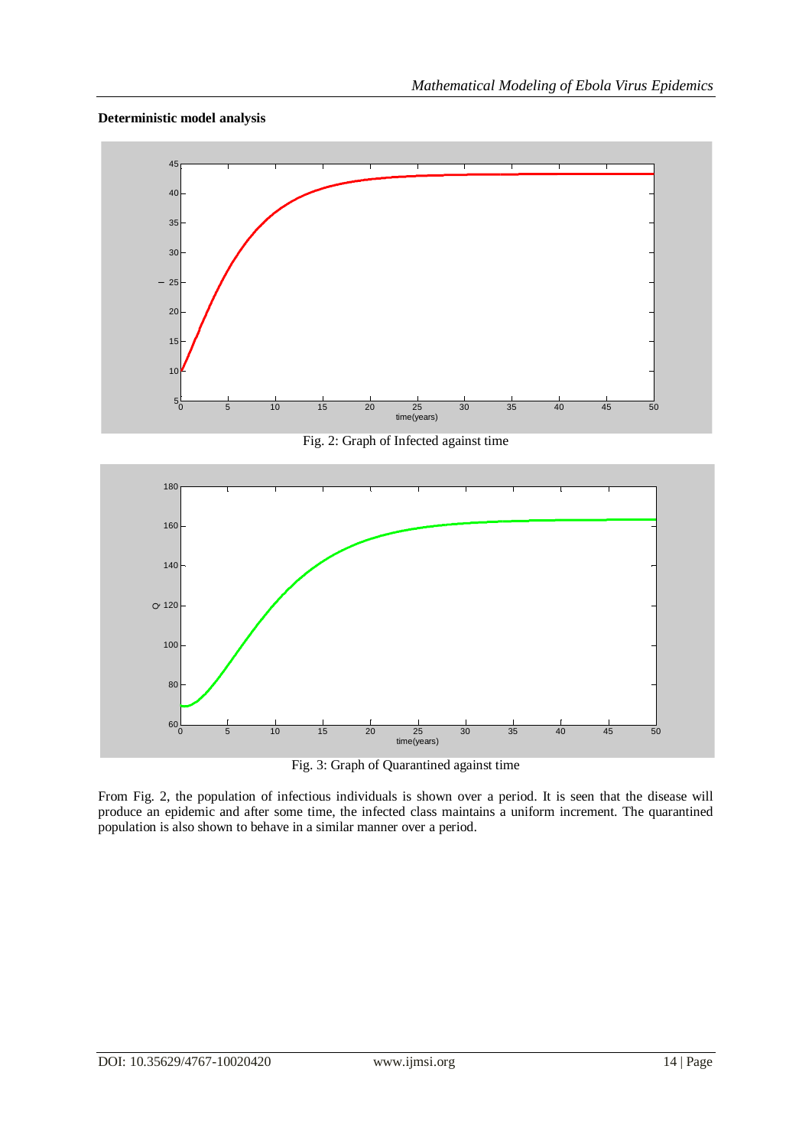## **Deterministic model analysis**



Fig. 2: Graph of Infected against time



Fig. 3: Graph of Quarantined against time

From Fig. 2, the population of infectious individuals is shown over a period. It is seen that the disease will produce an epidemic and after some time, the infected class maintains a uniform increment. The quarantined population is also shown to behave in a similar manner over a period.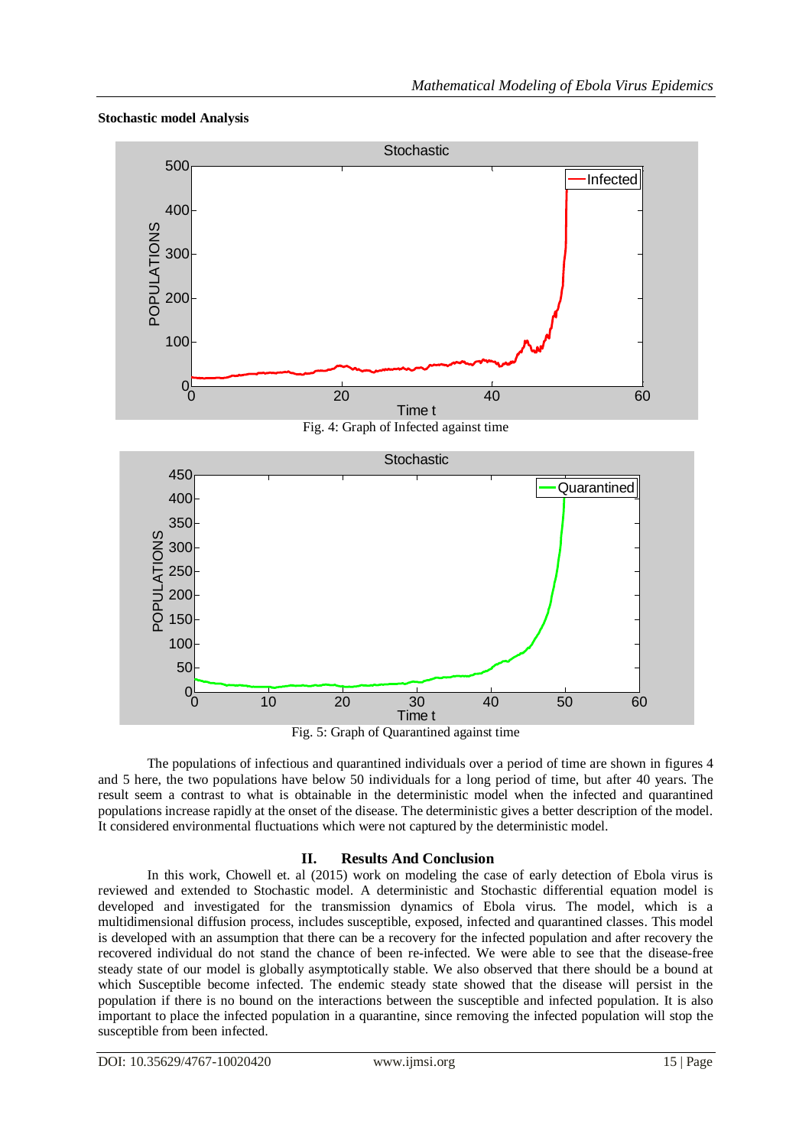## **Stochastic model Analysis**



Fig. 5: Graph of Quarantined against time

The populations of infectious and quarantined individuals over a period of time are shown in figures 4 and 5 here, the two populations have below 50 individuals for a long period of time, but after 40 years. The result seem a contrast to what is obtainable in the deterministic model when the infected and quarantined populations increase rapidly at the onset of the disease. The deterministic gives a better description of the model. It considered environmental fluctuations which were not captured by the deterministic model.

## **II. Results And Conclusion**

In this work, Chowell et. al (2015) work on modeling the case of early detection of Ebola virus is reviewed and extended to Stochastic model. A deterministic and Stochastic differential equation model is developed and investigated for the transmission dynamics of Ebola virus. The model, which is a multidimensional diffusion process, includes susceptible, exposed, infected and quarantined classes. This model is developed with an assumption that there can be a recovery for the infected population and after recovery the recovered individual do not stand the chance of been re-infected. We were able to see that the disease-free steady state of our model is globally asymptotically stable. We also observed that there should be a bound at which Susceptible become infected. The endemic steady state showed that the disease will persist in the population if there is no bound on the interactions between the susceptible and infected population. It is also important to place the infected population in a quarantine, since removing the infected population will stop the susceptible from been infected.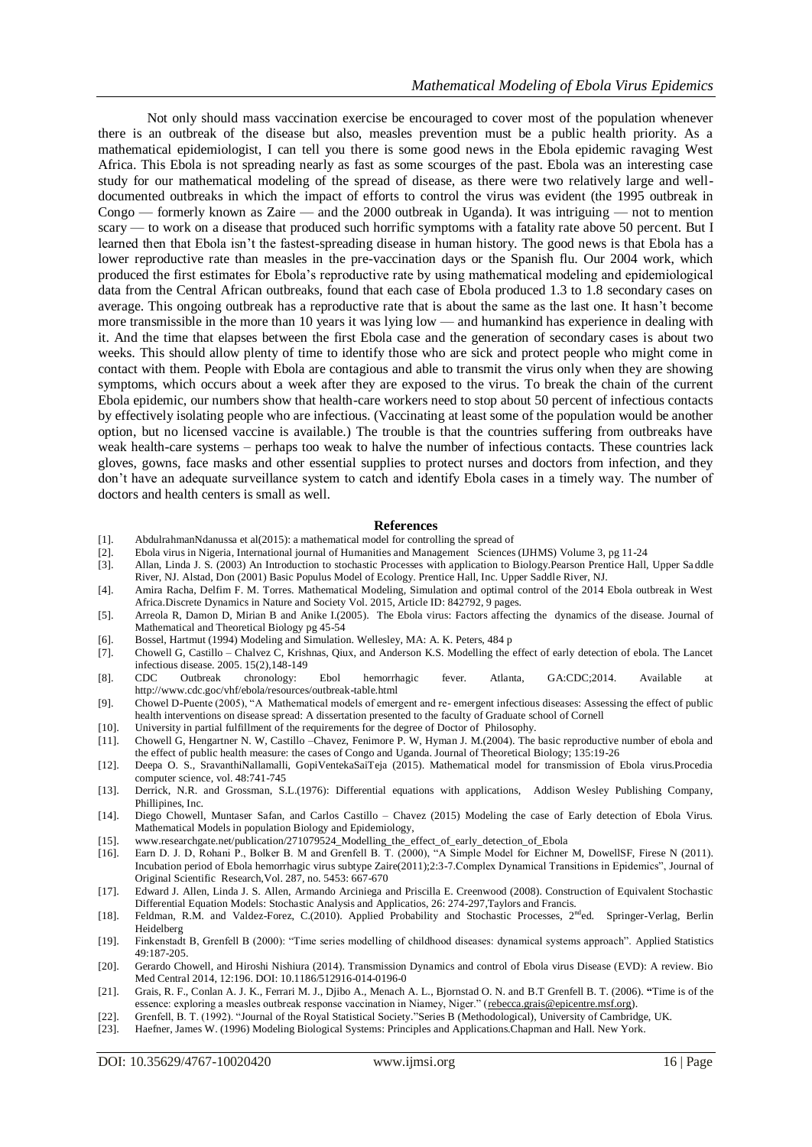Not only should mass vaccination exercise be encouraged to cover most of the population whenever there is an outbreak of the disease but also, measles prevention must be a public health priority. As a mathematical epidemiologist, I can tell you there is some good news in the Ebola epidemic ravaging West Africa. This Ebola is not spreading nearly as fast as some scourges of the past. Ebola was an interesting case study for our mathematical modeling of the spread of disease, as there were two relatively large and welldocumented outbreaks in which the impact of efforts to control the virus was evident (the 1995 outbreak in Congo — formerly known as Zaire — and the 2000 outbreak in Uganda). It was intriguing — not to mention scary — to work on a disease that produced such horrific symptoms with a fatality rate above 50 percent. But I learned then that Ebola isn't the fastest-spreading disease in human history. The good news is that Ebola has a lower reproductive rate than measles in the pre-vaccination days or the Spanish flu. Our 2004 work, which produced the first estimates for Ebola's reproductive rate by using mathematical modeling and epidemiological data from the Central African outbreaks, found that each case of Ebola produced 1.3 to 1.8 secondary cases on average. This ongoing outbreak has a reproductive rate that is about the same as the last one. It hasn't become more transmissible in the more than 10 years it was lying low — and humankind has experience in dealing with it. And the time that elapses between the first Ebola case and the generation of secondary cases is about two weeks. This should allow plenty of time to identify those who are sick and protect people who might come in contact with them. People with Ebola are contagious and able to transmit the virus only when they are showing symptoms, which occurs about a week after they are exposed to the virus. To break the chain of the current Ebola epidemic, our numbers show that health-care workers need to stop about 50 percent of infectious contacts by effectively isolating people who are infectious. (Vaccinating at least some of the population would be another option, but no licensed vaccine is available.) The trouble is that the countries suffering from outbreaks have weak health-care systems – perhaps too weak to halve the number of infectious contacts. These countries lack gloves, gowns, face masks and other essential supplies to protect nurses and doctors from infection, and they don't have an adequate surveillance system to catch and identify Ebola cases in a timely way. The number of doctors and health centers is small as well.

#### **References**

- [1]. AbdulrahmanNdanussa et al(2015): a mathematical model for controlling the spread of
- [2]. Ebola virus in Nigeria, International journal of Humanities and Management Sciences (IJHMS) Volume 3, pg 11-24
- [3]. Allan, Linda J. S. (2003) An Introduction to stochastic Processes with application to Biology.Pearson Prentice Hall, Upper Sa ddle River, NJ. Alstad, Don (2001) Basic Populus Model of Ecology. Prentice Hall, Inc. Upper Saddle River, NJ.
- [4]. Amira Racha, Delfim F. M. Torres. Mathematical Modeling, Simulation and optimal control of the 2014 Ebola outbreak in West Africa.Discrete Dynamics in Nature and Society Vol. 2015, Article ID: 842792, 9 pages.
- [5]. Arreola R, Damon D, Mirian B and Anike I.(2005). The Ebola virus: Factors affecting the dynamics of the disease. Journal of Mathematical and Theoretical Biology pg 45-54
- [6]. Bossel, Hartmut (1994) Modeling and Simulation. Wellesley, MA: A. K. Peters, 484 p
- [7]. Chowell G, Castillo Chalvez C, Krishnas, Qiux, and Anderson K.S. Modelling the effect of early detection of ebola. The Lancet infectious disease.  $2005. 15(2), 148-149$ <br>CDC Outbreak chronology:
- [8]. CDC Outbreak chronology: Ebol hemorrhagic fever. Atlanta, GA:CDC;2014. Available at http://www.cdc.goc/vhf/ebola/resources/outbreak-table.html
- [9]. Chowel D-Puente (2005), "A Mathematical models of emergent and re- emergent infectious diseases: Assessing the effect of public health interventions on disease spread: A dissertation presented to the faculty of Graduate school of Cornell
- [10]. University in partial fulfillment of the requirements for the degree of Doctor of Philosophy.
- [11]. Chowell G, Hengartner N. W, Castillo –Chavez, Fenimore P. W, Hyman J. M.(2004). The basic reproductive number of ebola and the effect of public health measure: the cases of Congo and Uganda. Journal of Theoretical Biology; 135:19-26
- [12]. Deepa O. S., SravanthiNallamalli, GopiVentekaSaiTeja (2015). Mathematical model for transmission of Ebola virus.Procedia computer science, vol. 48:741-745
- [13]. Derrick, N.R. and Grossman, S.L.(1976): Differential equations with applications, Addison Wesley Publishing Company, Phillipines, Inc.
- [14]. Diego Chowell, Muntaser Safan, and Carlos Castillo Chavez (2015) Modeling the case of Early detection of Ebola Virus. Mathematical Models in population Biology and Epidemiology,
- [15]. www.researchgate.net/publication/271079524\_Modelling\_the\_effect\_of\_early\_detection\_of\_Ebola
- [16]. Earn D. J. D, Rohani P., Bolker B. M and Grenfell B. T. (2000), "A Simple Model for Eichner M, DowellSF, Firese N (2011). Incubation period of Ebola hemorrhagic virus subtype Zaire(2011);2:3-7.Complex Dynamical Transitions in Epidemics", Journal of Original Scientific Research,Vol. 287, no. 5453: 667-670
- [17]. Edward J. Allen, Linda J. S. Allen, Armando Arciniega and Priscilla E. Creenwood (2008). Construction of Equivalent Stochastic Differential Equation Models: Stochastic Analysis and Applicatios, 26: 274-297,Taylors and Francis.
- [18]. Feldman, R.M. and Valdez-Forez, C.(2010). Applied Probability and Stochastic Processes, 2<sup>nd</sup>ed. Springer-Verlag, Berlin Heidelberg
- [19]. Finkenstadt B, Grenfell B (2000): "Time series modelling of childhood diseases: dynamical systems approach". Applied Statistics 49:187-205.
- [20]. Gerardo Chowell, and Hiroshi Nishiura (2014). Transmission Dynamics and control of Ebola virus Disease (EVD): A review. Bio Med Central 2014, 12:196. DOI: 10.1186/512916-014-0196-0
- [21]. Grais, R. F., Conlan A. J. K., Ferrari M. J., Djibo A., Menach A. L., Bjornstad O. N. and B.T Grenfell B. T. (2006). **"**Time is of the essence: exploring a measles outbreak response vaccination in Niamey, Niger." [\(rebecca.grais@epicentre.msf.org\)](mailto:rebecca.grais@epicentre.msf.org).
- [22]. Grenfell, B. T. (1992). "Journal of the Royal Statistical Society."Series B (Methodological), University of Cambridge, UK.
- [23]. Haefner, James W. (1996) Modeling Biological Systems: Principles and Applications.Chapman and Hall. New York.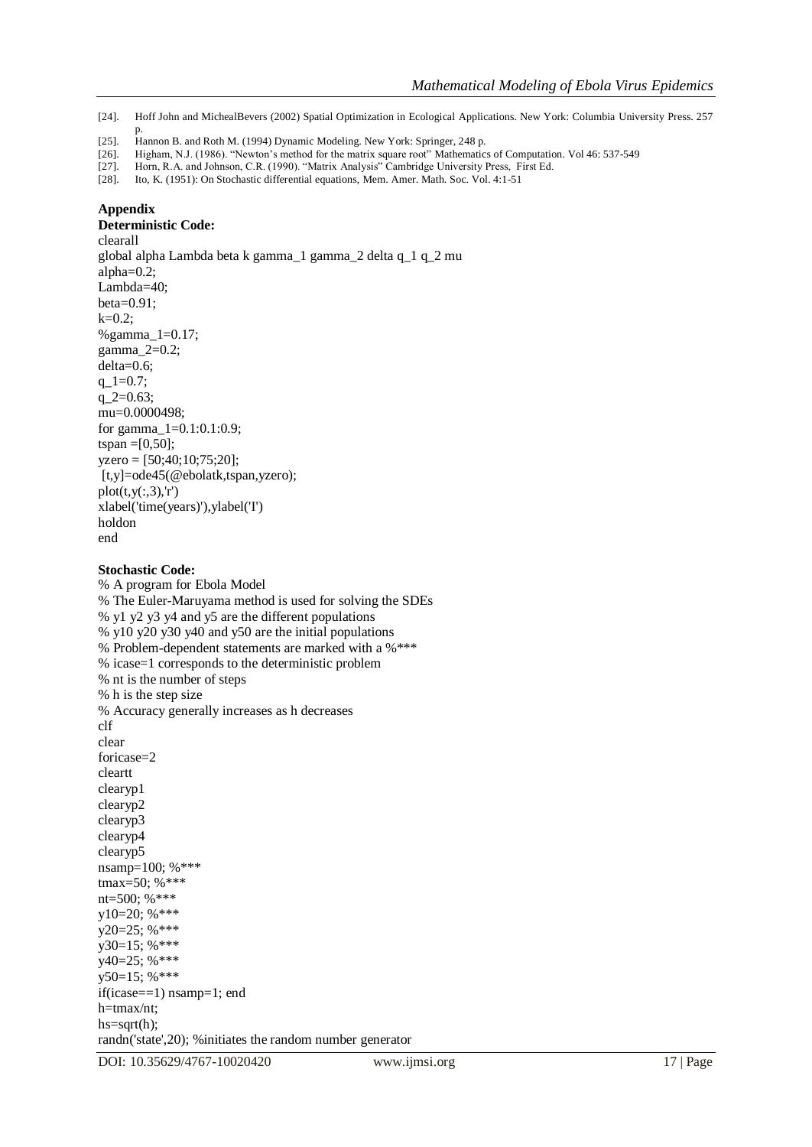#### **Appendix**

#### **Deterministic Code:**

clearall global alpha Lambda beta k gamma\_1 gamma\_2 delta q\_1 q\_2 mu alpha=0.2; Lambda=40;  $beta=0.91$ :  $k=0.2$ ; %gamma\_1=0.17; gamma\_2=0.2; delta=0.6; q  $1=0.7$ ; q  $2=0.63$ ; mu=0.0000498; for gamma  $1=0.1:0.1:0.9$ ; tspan =  $[0, 50]$ ; yzero = [50;40;10;75;20]; [t,y]=ode45(@ebolatk,tspan,yzero);  $plot(t,y(:,3),r')$ xlabel('time(years)'),ylabel('I') holdon end

#### **Stochastic Code:**

% A program for Ebola Model % The Euler-Maruyama method is used for solving the SDEs % y1 y2 y3 y4 and y5 are the different populations % y10 y20 y30 y40 and y50 are the initial populations % Problem-dependent statements are marked with a %\*\*\* % icase=1 corresponds to the deterministic problem % nt is the number of steps % h is the step size % Accuracy generally increases as h decreases clf clear foricase=2 cleartt clearyp1 clearyp2 clearyp3 clearyp4 clearyp5 nsamp=100; %\*\*\* tmax=50; %\*\*\* nt=500; %\*\*\* y10=20; %\*\*\* y20=25; %\*\*\* y30=15; %\*\*\* y40=25; %\*\*\* y50=15; %\*\*\* if(icase==1) nsamp=1; end h=tmax/nt; hs=sqrt(h); randn('state',20); %initiates the random number generator

<sup>[24].</sup> Hoff John and MichealBevers (2002) Spatial Optimization in Ecological Applications. New York: Columbia University Press. 257

p. [25]. Hannon B. and Roth M. (1994) Dynamic Modeling. New York: Springer, 248 p.

<sup>[26].</sup> Higham, N.J. (1986). "Newton's method for the matrix square root" Mathematics of Computation. Vol 46: 537-549

<sup>[27].</sup> Horn, R.A. and Johnson, C.R. (1990). "Matrix Analysis" Cambridge University Press, First Ed. [28]. Ito, K. (1951): On Stochastic differential equations, Mem. Amer. Math. Soc. Vol. 4:1-51

<sup>[28].</sup> Ito, K. (1951): On Stochastic differential equations, Mem. Amer. Math. Soc. Vol. 4:1-51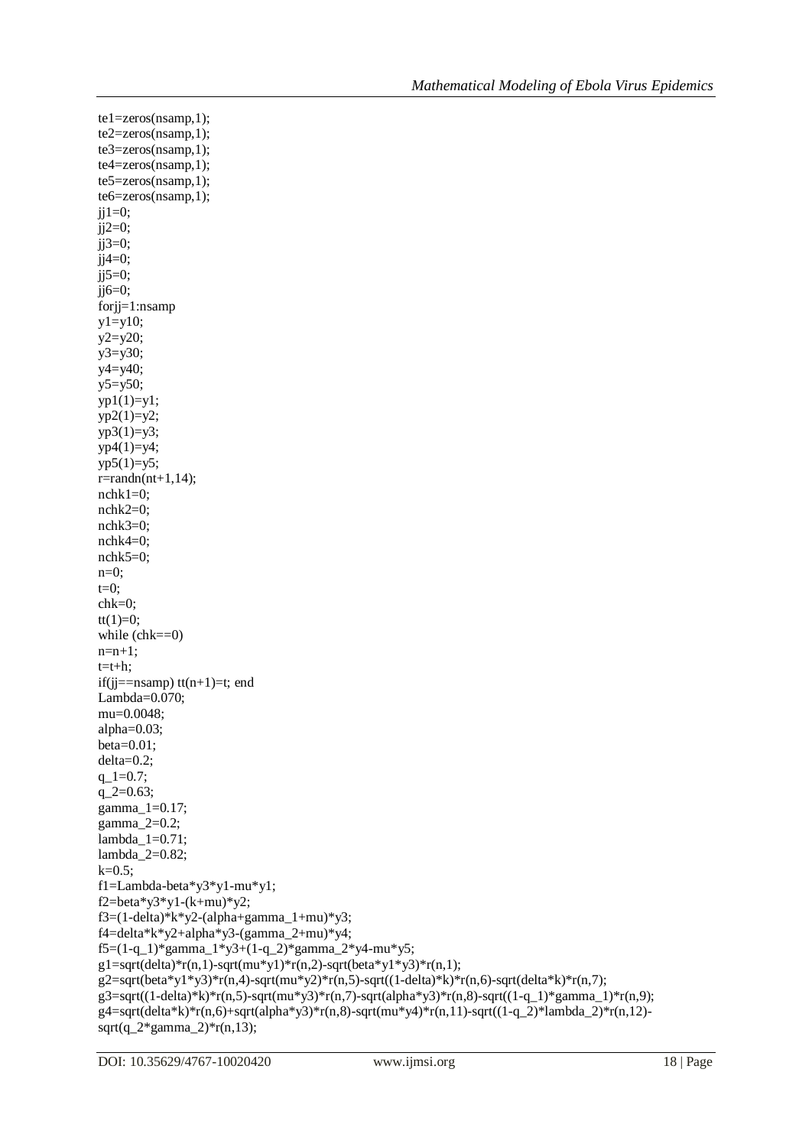$te1 = zeros(n \text{ samp}, 1);$ te2=zeros(nsamp,1); te3=zeros(nsamp,1); te4=zeros(nsamp,1); te5=zeros(nsamp,1); te6=zeros(nsamp,1);  $ji1=0;$  $ji2=0;$ j $j3=0;$  $ji4=0;$  $jj5=0;$  $ji6=0;$ forjj=1:nsamp  $y1=y10;$ y2=y20;  $y3=y30;$ y4=y40;  $y5=y50;$  $yp1(1)=y1;$  $yp2(1)=y2;$  $yp3(1)=y3;$  $yp4(1)=y4;$  $yp5(1)=y5;$  $r = randn(nt+1,14);$ nchk1=0; nchk2=0; nchk3=0; nchk4=0; nchk5=0; n=0;  $t=0;$ chk=0;  $tt(1)=0;$ while (chk==0)  $n=n+1$ ;  $t=t+h$ : if(j $j =$ =nsamp) tt $(n+1)$ =t; end Lambda=0.070; mu=0.0048; alpha=0.03; beta=0.01; delta=0.2;  $q_{-}1=0.7;$  $q_2 = 0.63;$ gamma\_1=0.17; gamma\_2=0.2; lambda\_1=0.71; lambda\_2=0.82;  $k=0.5$ ; f1=Lambda-beta\*y3\*y1-mu\*y1; f2=beta\*y3\*y1-(k+mu)\*y2; f3=(1-delta)\*k\*y2-(alpha+gamma\_1+mu)\*y3; f4=delta\*k\*y2+alpha\*y3-(gamma\_2+mu)\*y4; f5=(1-q\_1)\*gamma\_1\*y3+(1-q\_2)\*gamma\_2\*y4-mu\*y5;  $g1=sqrt(delta)*r(n,1)-sqrt(mu*y1)*r(n,2)-sqrt(beta*y1*y3)*r(n,1);$  $g2=sqrt(\beta \text{eta} \cdot y1 \cdot y3) \cdot \text{eta}(n,4) - \sqrt{\text{eta} \cdot y2} \cdot \text{eta}(n,5) - \sqrt{\text{eta}(n\beta \cdot x4)} \cdot \text{eta}(n,6) - \sqrt{\text{eta}(n\beta \cdot x4)} \cdot \text{eta}(n,7);$  $g3 = sqrt((1-delta)*k)*r(n,5)-sqrt*(mu*y3)*r(n,7)-sqrt(alpha*y3)*r(n,8)-sqrt((1-q_1)*gamma_2)*r(n,9);$  $g4 = sqrt(detta*k)*r(n,6) + sqrt(alpha * y3)*r(n,8) - sqrt(mu*y4)*r(n,11) - sqrt((1-q_2)*lambda_2)*r(n,12)$  $sqrt(q_2*gamma_2) * r(n,13);$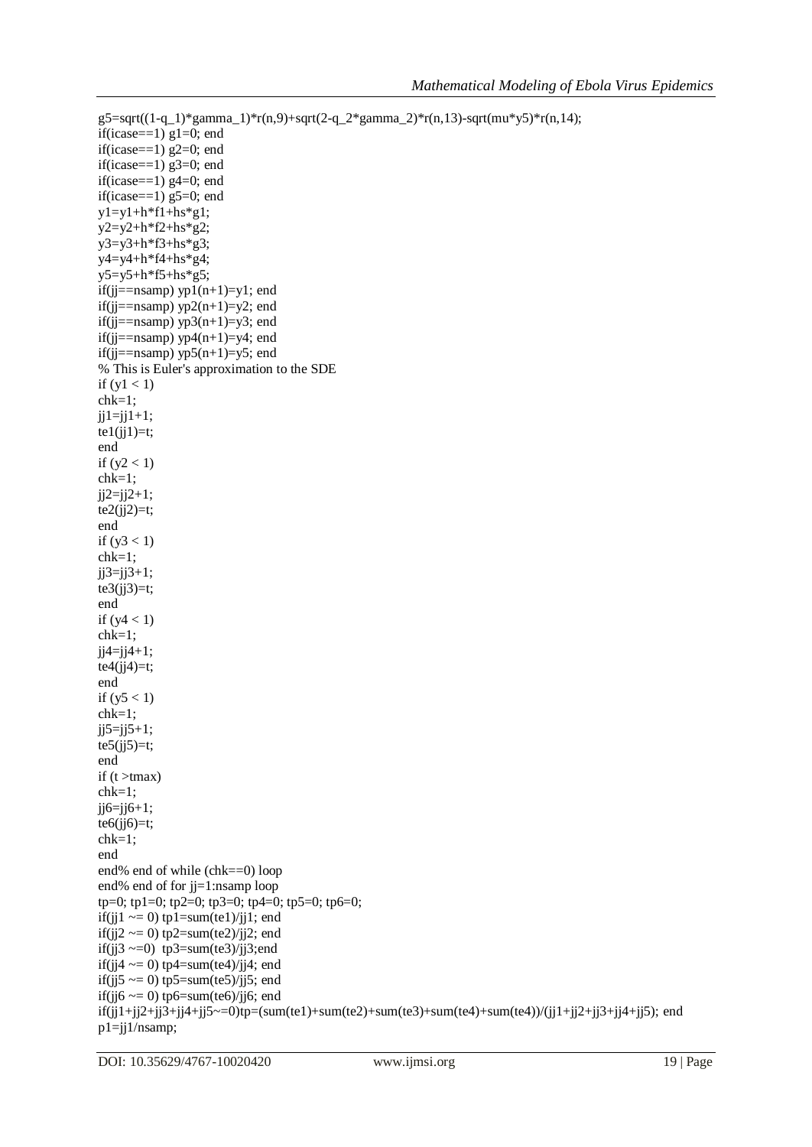```
g5 = sqrt((1-q_1)*gamma_1)*r(n,9) + sqrt(2-q_2)*gamma_2)*r(n,13) - sqrt(mu*y5)*r(n,14);if(icase==1) g1=0; end
if(icase==1) g2=0; end
if(icase==1) g3=0; end
if(icase==1) g4=0; end
if(icase==1) g5=0; end
y1=y1+h*f1+hs*g1;y2=y2+h*f2+hs*g2;y3=y3+h*f3+hs*g3;y4=y4+h*f4+hs*g4;y5=y5+h*f5+hs*g5;
if(jj = n \text{samp}) yp1(n+1)=y1; end
if(jj==nsamp) yp2(n+1)=y2; end
if(jj =nsamp) yp3(n+1)=y3; end
if(jj =nsamp) yp4(n+1)=y4; end
if(jj =nsamp) yp5(n+1)=y5; end
% This is Euler's approximation to the SDE
if (y1 < 1)chk=1;
ji1=i1+1;te1(ij1)=t;end
if (y2 < 1)chk=1;
jj2=jj2+1;te2(jj2)=t;end
if (y3 < 1)chk=1;
ji3=ij3+1;te3(jj3)=t;end
if (y4 < 1)chk=1;
ji4=jj4+1;te4(jj4)=t;end
if (y5 < 1)chk=1;
ji5=i5+1;te5(ij5)=t;end
if (t > tmax)chk=1;
jj6=jj6+1;te6(jj6)=t;chk=1;
end
end% end of while (chk==0) loop
end% end of for jj=1:nsamp loop
tp=0; tp1=0; tp2=0; tp3=0; tp4=0; tp5=0; tp6=0;
if(ji1 \approx = 0) tp1=sum(te1)/ji1; end
if(ji2 \approx = 0) tp2=sum(te2)/ji2; end
if(jj3 \sim=0) tp3=sum(te3)/jj3;end
if(jj4 \sim = 0) tp4=sum(te4)/jj4; end
if(jj5 \sim = 0) tp5=sum(te5)/jj5; end
if(jj6 \approx = 0) tp6=sum(te6)/jj6; end
if(j_11+j_12+j_13+j_14+j_15\sim=0)tp=(sum(te1)+sum(te2)+sum(te3)+sum(te4)+sum(te4))/(j1+jj2+jj3+jj4+jj5); end
p1=jj1/nsamp;
```